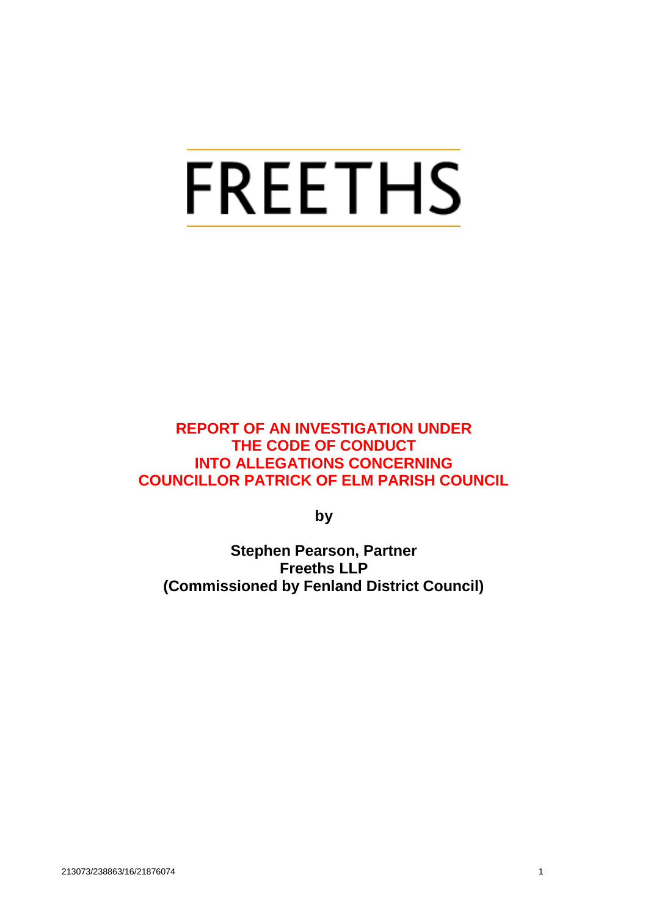# **FREETHS**

**REPORT OF AN INVESTIGATION UNDER THE CODE OF CONDUCT INTO ALLEGATIONS CONCERNING COUNCILLOR PATRICK OF ELM PARISH COUNCIL**

**by**

**Stephen Pearson, Partner Freeths LLP (Commissioned by Fenland District Council)**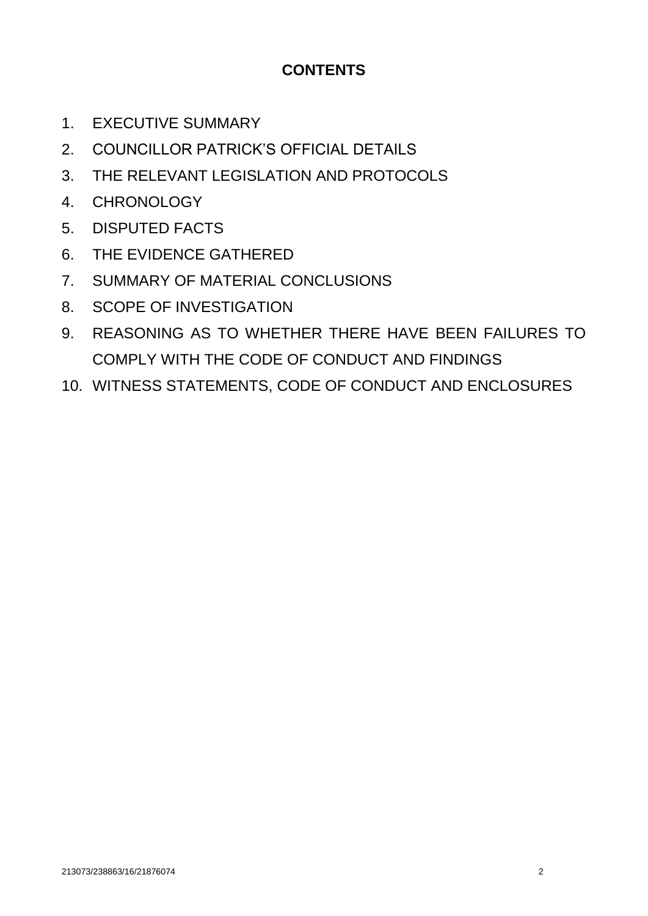# **CONTENTS**

- 1. EXECUTIVE SUMMARY
- 2. COUNCILLOR PATRICK'S OFFICIAL DETAILS
- 3. THE RELEVANT LEGISLATION AND PROTOCOLS
- 4. CHRONOLOGY
- 5. DISPUTED FACTS
- 6. THE EVIDENCE GATHERED
- 7. SUMMARY OF MATERIAL CONCLUSIONS
- 8. SCOPE OF INVESTIGATION
- 9. REASONING AS TO WHETHER THERE HAVE BEEN FAILURES TO COMPLY WITH THE CODE OF CONDUCT AND FINDINGS
- 10. WITNESS STATEMENTS, CODE OF CONDUCT AND ENCLOSURES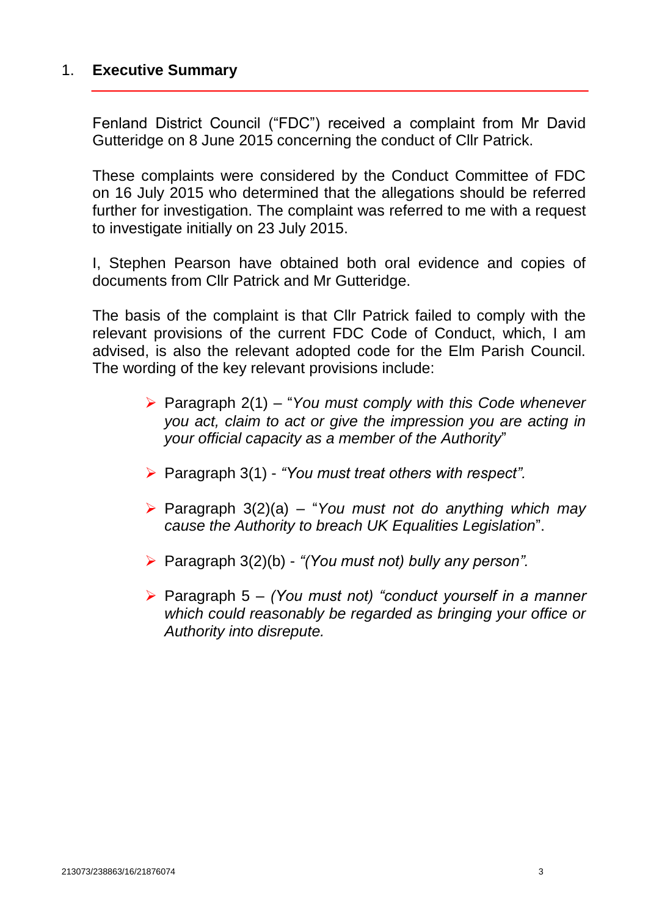# 1. **Executive Summary**

Fenland District Council ("FDC") received a complaint from Mr David Gutteridge on 8 June 2015 concerning the conduct of Cllr Patrick.

These complaints were considered by the Conduct Committee of FDC on 16 July 2015 who determined that the allegations should be referred further for investigation. The complaint was referred to me with a request to investigate initially on 23 July 2015.

I, Stephen Pearson have obtained both oral evidence and copies of documents from Cllr Patrick and Mr Gutteridge.

The basis of the complaint is that Cllr Patrick failed to comply with the relevant provisions of the current FDC Code of Conduct, which, I am advised, is also the relevant adopted code for the Elm Parish Council. The wording of the key relevant provisions include:

- Paragraph 2(1) "*You must comply with this Code whenever you act, claim to act or give the impression you are acting in your official capacity as a member of the Authority*"
- Paragraph 3(1) *"You must treat others with respect".*
- Paragraph 3(2)(a) "*You must not do anything which may cause the Authority to breach UK Equalities Legislation*".
- Paragraph 3(2)(b) *"(You must not) bully any person".*
- Paragraph 5 *(You must not) "conduct yourself in a manner which could reasonably be regarded as bringing your office or Authority into disrepute.*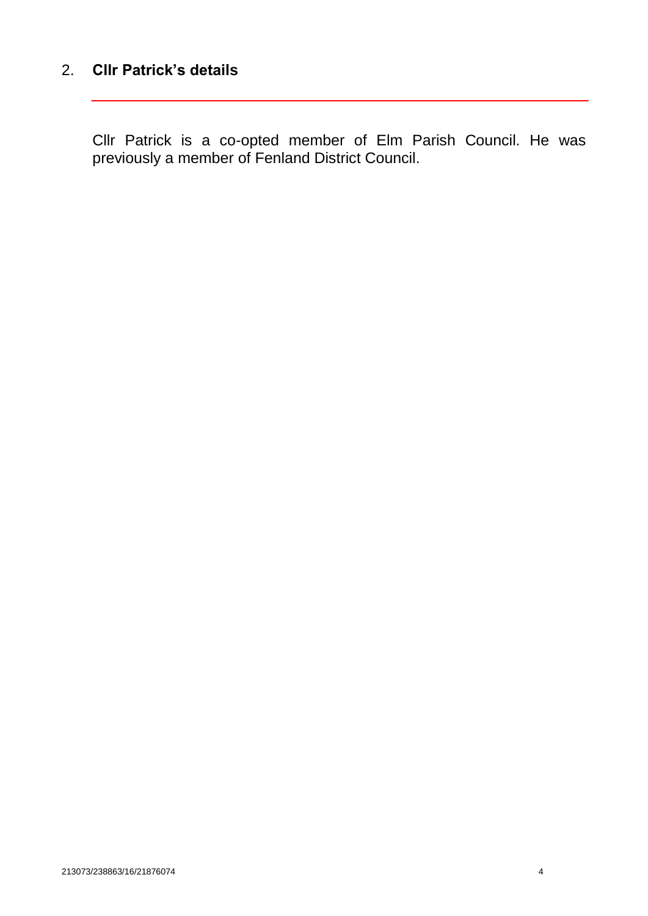# 2. **Cllr Patrick's details**

Cllr Patrick is a co-opted member of Elm Parish Council. He was previously a member of Fenland District Council.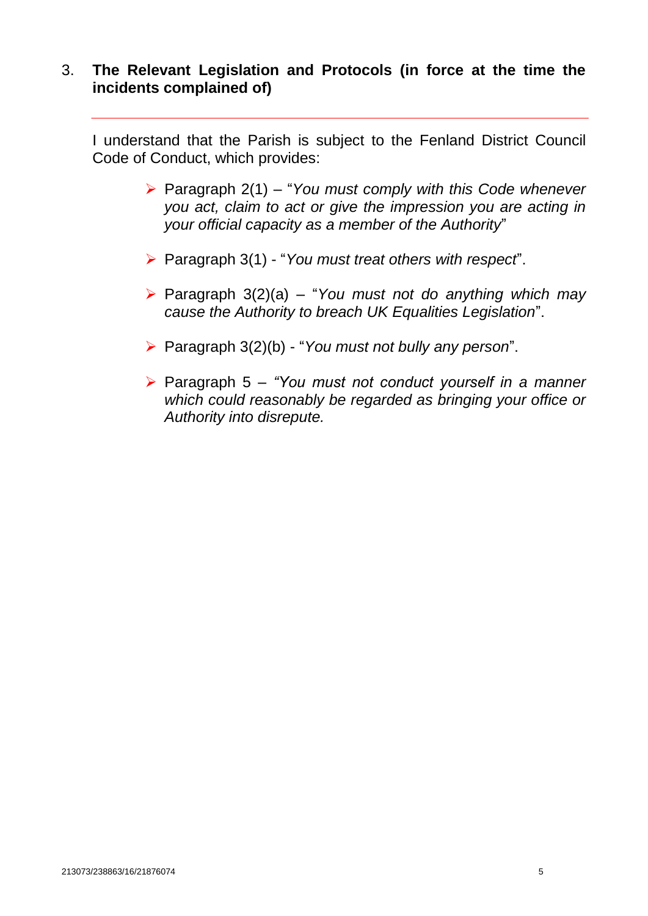## 3. **The Relevant Legislation and Protocols (in force at the time the incidents complained of)**

I understand that the Parish is subject to the Fenland District Council Code of Conduct, which provides:

- Paragraph 2(1) "*You must comply with this Code whenever you act, claim to act or give the impression you are acting in your official capacity as a member of the Authority*"
- Paragraph 3(1) "*You must treat others with respect*".
- Paragraph 3(2)(a) "*You must not do anything which may cause the Authority to breach UK Equalities Legislation*".
- Paragraph 3(2)(b) "*You must not bully any person*".
- Paragraph 5 *"You must not conduct yourself in a manner which could reasonably be regarded as bringing your office or Authority into disrepute.*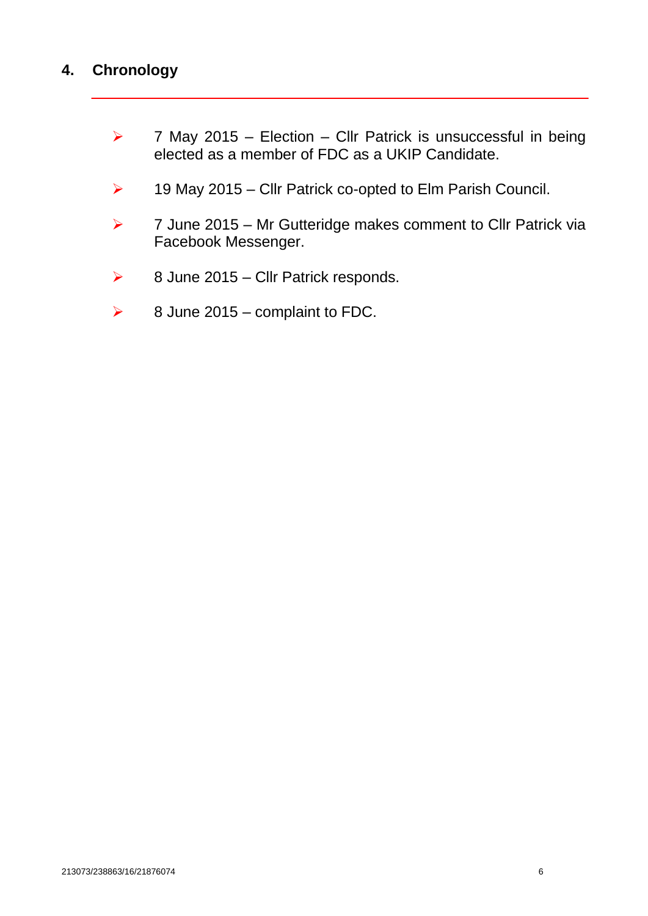# **4. Chronology**

- $\triangleright$  7 May 2015 Election Cllr Patrick is unsuccessful in being elected as a member of FDC as a UKIP Candidate.
- $\triangleright$  19 May 2015 Cllr Patrick co-opted to Elm Parish Council.
- $\triangleright$  7 June 2015 Mr Gutteridge makes comment to Cllr Patrick via Facebook Messenger.
- $\triangleright$  8 June 2015 Cllr Patrick responds.
- $\geq$  8 June 2015 complaint to FDC.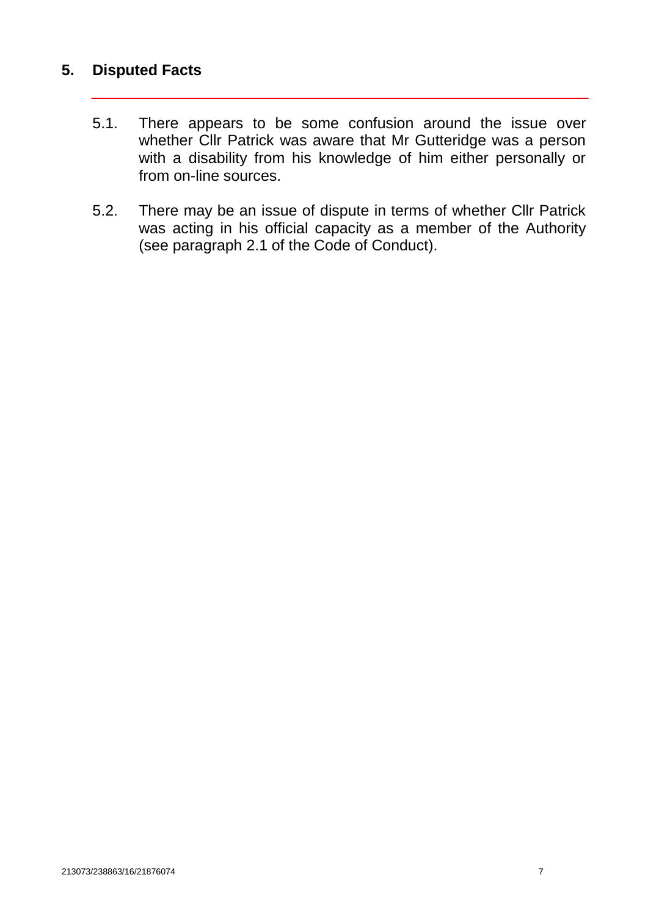# **5. Disputed Facts**

- 5.1. There appears to be some confusion around the issue over whether Cllr Patrick was aware that Mr Gutteridge was a person with a disability from his knowledge of him either personally or from on-line sources.
- 5.2. There may be an issue of dispute in terms of whether Cllr Patrick was acting in his official capacity as a member of the Authority (see paragraph 2.1 of the Code of Conduct).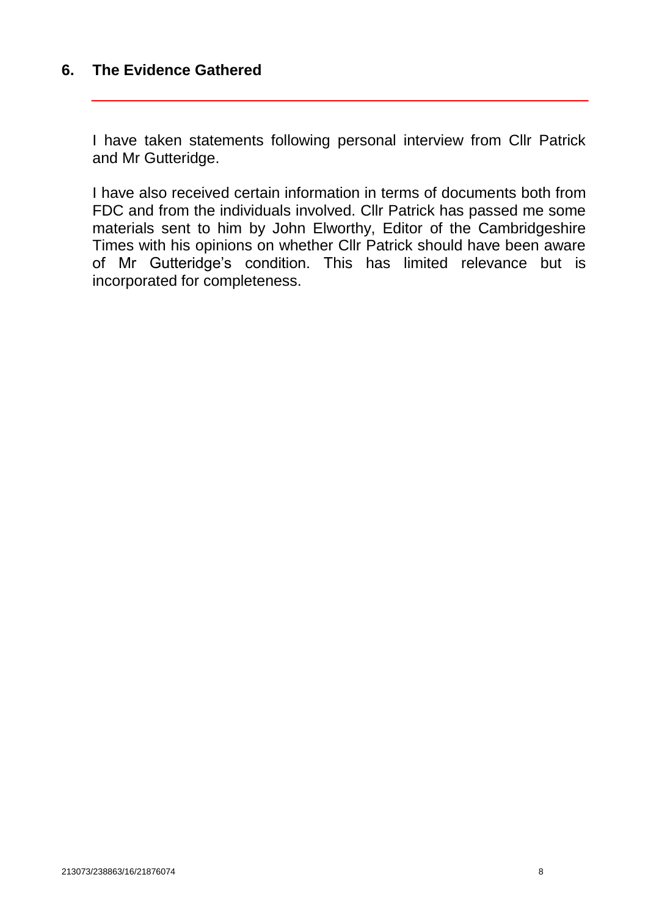# **6. The Evidence Gathered**

I have taken statements following personal interview from Cllr Patrick and Mr Gutteridge.

I have also received certain information in terms of documents both from FDC and from the individuals involved. Cllr Patrick has passed me some materials sent to him by John Elworthy, Editor of the Cambridgeshire Times with his opinions on whether Cllr Patrick should have been aware of Mr Gutteridge's condition. This has limited relevance but is incorporated for completeness.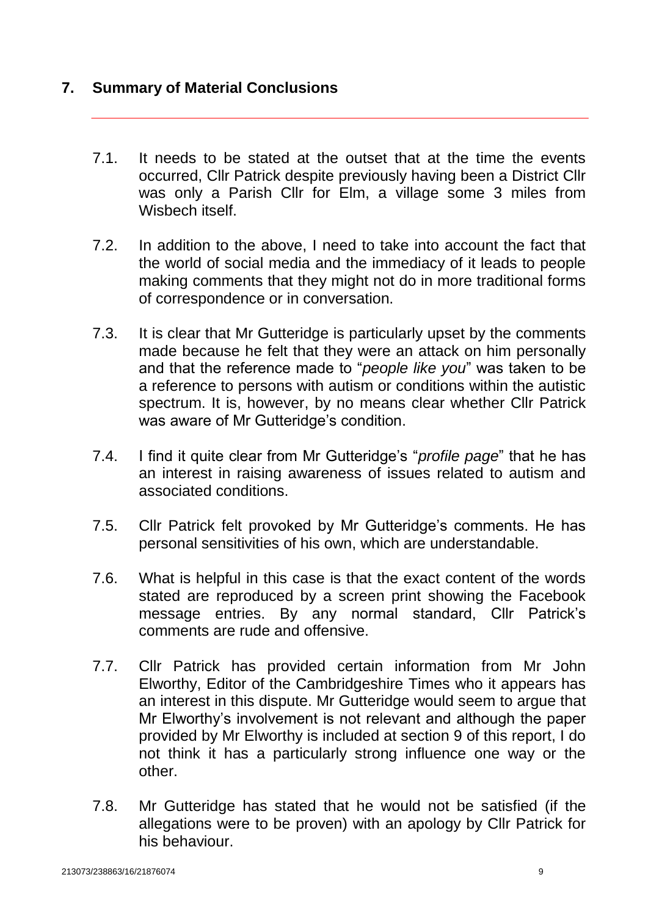# **7. Summary of Material Conclusions**

- 7.1. It needs to be stated at the outset that at the time the events occurred, Cllr Patrick despite previously having been a District Cllr was only a Parish Cllr for Elm, a village some 3 miles from Wisbech itself.
- 7.2. In addition to the above, I need to take into account the fact that the world of social media and the immediacy of it leads to people making comments that they might not do in more traditional forms of correspondence or in conversation.
- 7.3. It is clear that Mr Gutteridge is particularly upset by the comments made because he felt that they were an attack on him personally and that the reference made to "*people like you*" was taken to be a reference to persons with autism or conditions within the autistic spectrum. It is, however, by no means clear whether Cllr Patrick was aware of Mr Gutteridge's condition.
- 7.4. I find it quite clear from Mr Gutteridge's "*profile page*" that he has an interest in raising awareness of issues related to autism and associated conditions.
- 7.5. Cllr Patrick felt provoked by Mr Gutteridge's comments. He has personal sensitivities of his own, which are understandable.
- 7.6. What is helpful in this case is that the exact content of the words stated are reproduced by a screen print showing the Facebook message entries. By any normal standard, Cllr Patrick's comments are rude and offensive.
- 7.7. Cllr Patrick has provided certain information from Mr John Elworthy, Editor of the Cambridgeshire Times who it appears has an interest in this dispute. Mr Gutteridge would seem to argue that Mr Elworthy's involvement is not relevant and although the paper provided by Mr Elworthy is included at section 9 of this report, I do not think it has a particularly strong influence one way or the other.
- 7.8. Mr Gutteridge has stated that he would not be satisfied (if the allegations were to be proven) with an apology by Cllr Patrick for his behaviour.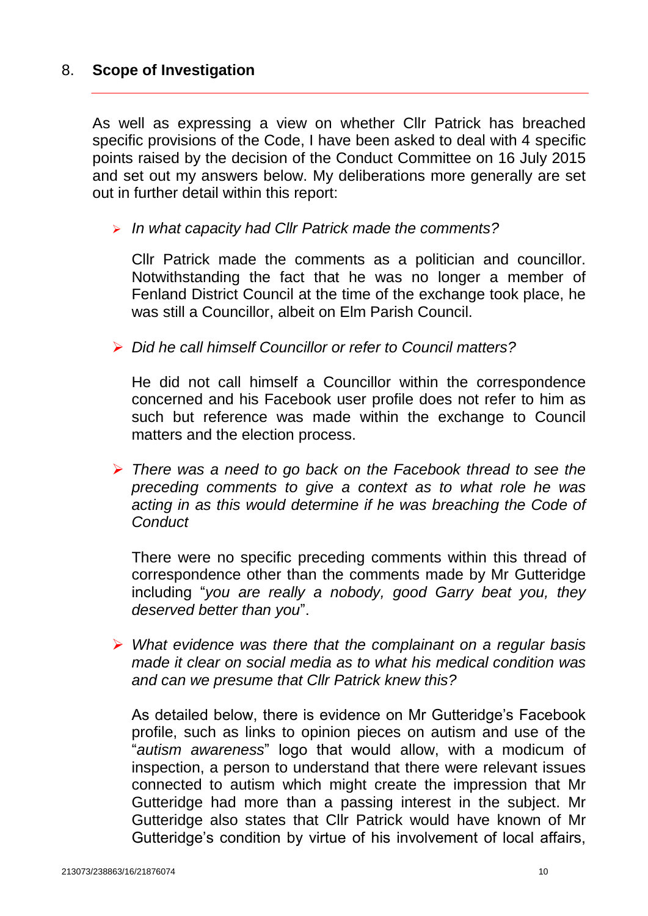# 8. **Scope of Investigation**

As well as expressing a view on whether Cllr Patrick has breached specific provisions of the Code, I have been asked to deal with 4 specific points raised by the decision of the Conduct Committee on 16 July 2015 and set out my answers below. My deliberations more generally are set out in further detail within this report:

## *In what capacity had Cllr Patrick made the comments?*

Cllr Patrick made the comments as a politician and councillor. Notwithstanding the fact that he was no longer a member of Fenland District Council at the time of the exchange took place, he was still a Councillor, albeit on Elm Parish Council.

*Did he call himself Councillor or refer to Council matters?*

He did not call himself a Councillor within the correspondence concerned and his Facebook user profile does not refer to him as such but reference was made within the exchange to Council matters and the election process.

 *There was a need to go back on the Facebook thread to see the preceding comments to give a context as to what role he was acting in as this would determine if he was breaching the Code of Conduct*

There were no specific preceding comments within this thread of correspondence other than the comments made by Mr Gutteridge including "*you are really a nobody, good Garry beat you, they deserved better than you*".

 *What evidence was there that the complainant on a regular basis made it clear on social media as to what his medical condition was and can we presume that Cllr Patrick knew this?*

As detailed below, there is evidence on Mr Gutteridge's Facebook profile, such as links to opinion pieces on autism and use of the "*autism awareness*" logo that would allow, with a modicum of inspection, a person to understand that there were relevant issues connected to autism which might create the impression that Mr Gutteridge had more than a passing interest in the subject. Mr Gutteridge also states that Cllr Patrick would have known of Mr Gutteridge's condition by virtue of his involvement of local affairs,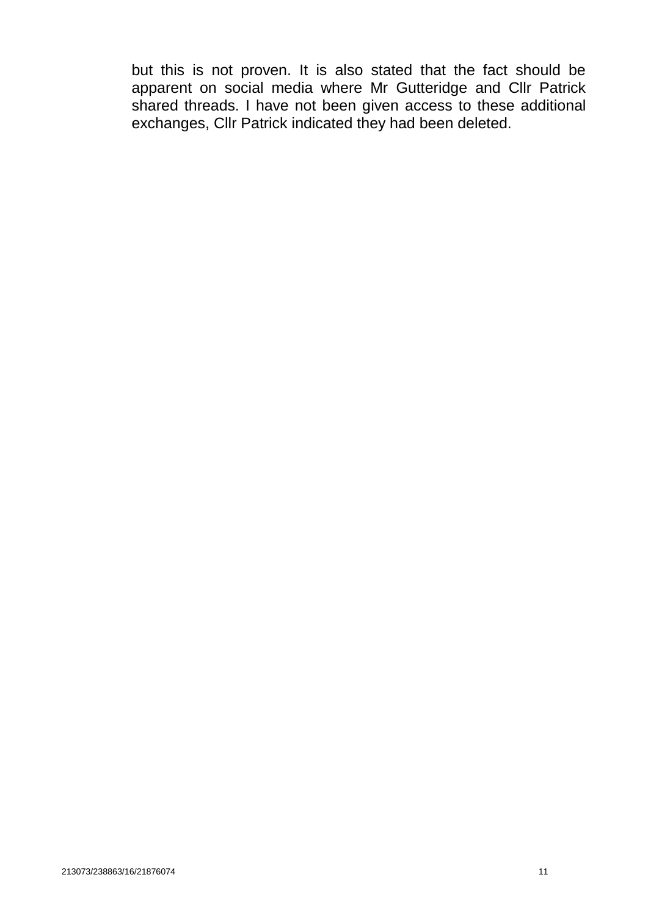but this is not proven. It is also stated that the fact should be apparent on social media where Mr Gutteridge and Cllr Patrick shared threads. I have not been given access to these additional exchanges, Cllr Patrick indicated they had been deleted.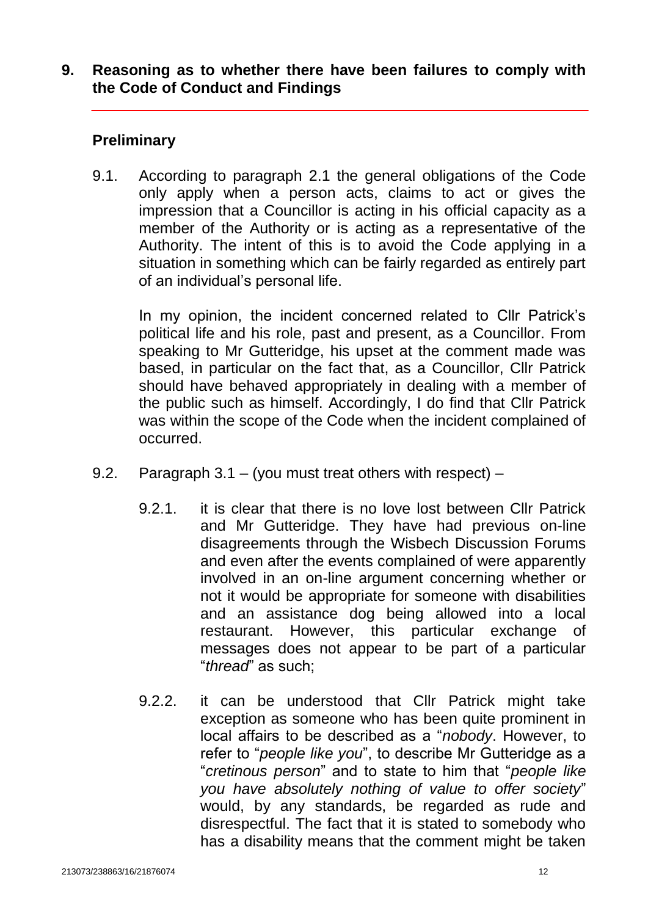# **9. Reasoning as to whether there have been failures to comply with the Code of Conduct and Findings**

# **Preliminary**

9.1. According to paragraph 2.1 the general obligations of the Code only apply when a person acts, claims to act or gives the impression that a Councillor is acting in his official capacity as a member of the Authority or is acting as a representative of the Authority. The intent of this is to avoid the Code applying in a situation in something which can be fairly regarded as entirely part of an individual's personal life.

In my opinion, the incident concerned related to Cllr Patrick's political life and his role, past and present, as a Councillor. From speaking to Mr Gutteridge, his upset at the comment made was based, in particular on the fact that, as a Councillor, Cllr Patrick should have behaved appropriately in dealing with a member of the public such as himself. Accordingly, I do find that Cllr Patrick was within the scope of the Code when the incident complained of occurred.

- 9.2. Paragraph 3.1 (you must treat others with respect)
	- 9.2.1. it is clear that there is no love lost between Cllr Patrick and Mr Gutteridge. They have had previous on-line disagreements through the Wisbech Discussion Forums and even after the events complained of were apparently involved in an on-line argument concerning whether or not it would be appropriate for someone with disabilities and an assistance dog being allowed into a local restaurant. However, this particular exchange of messages does not appear to be part of a particular "*thread*" as such;
	- 9.2.2. it can be understood that Cllr Patrick might take exception as someone who has been quite prominent in local affairs to be described as a "*nobody*. However, to refer to "*people like you*", to describe Mr Gutteridge as a "*cretinous person*" and to state to him that "*people like you have absolutely nothing of value to offer society*" would, by any standards, be regarded as rude and disrespectful. The fact that it is stated to somebody who has a disability means that the comment might be taken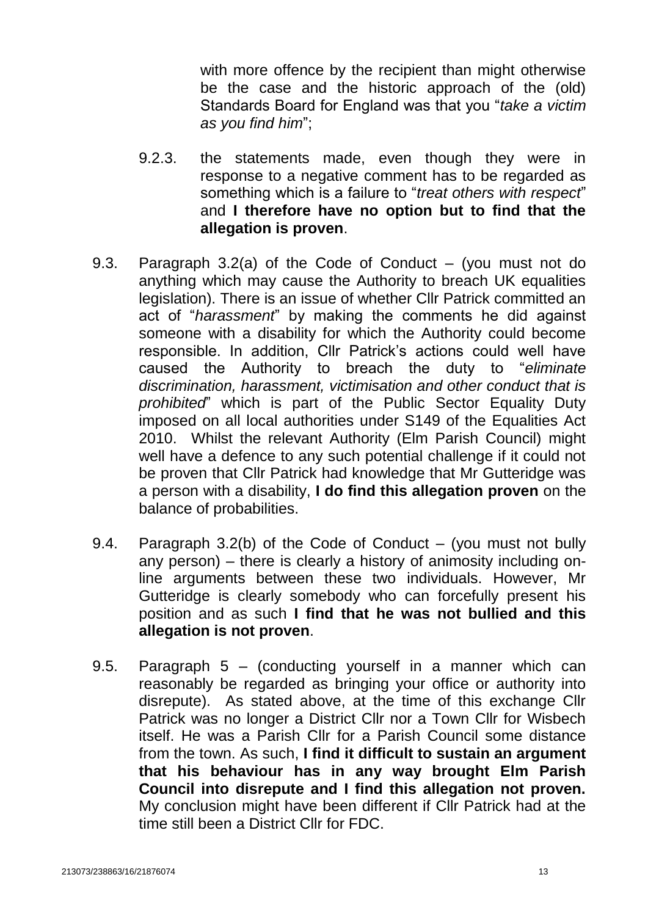with more offence by the recipient than might otherwise be the case and the historic approach of the (old) Standards Board for England was that you "*take a victim as you find him*";

- 9.2.3. the statements made, even though they were in response to a negative comment has to be regarded as something which is a failure to "*treat others with respect*" and **I therefore have no option but to find that the allegation is proven**.
- 9.3. Paragraph 3.2(a) of the Code of Conduct (you must not do anything which may cause the Authority to breach UK equalities legislation). There is an issue of whether Cllr Patrick committed an act of "*harassment*" by making the comments he did against someone with a disability for which the Authority could become responsible. In addition, Cllr Patrick's actions could well have caused the Authority to breach the duty to "*eliminate discrimination, harassment, victimisation and other conduct that is prohibited*" which is part of the Public Sector Equality Duty imposed on all local authorities under S149 of the Equalities Act 2010. Whilst the relevant Authority (Elm Parish Council) might well have a defence to any such potential challenge if it could not be proven that Cllr Patrick had knowledge that Mr Gutteridge was a person with a disability, **I do find this allegation proven** on the balance of probabilities.
- 9.4. Paragraph 3.2(b) of the Code of Conduct (you must not bully any person) – there is clearly a history of animosity including online arguments between these two individuals. However, Mr Gutteridge is clearly somebody who can forcefully present his position and as such **I find that he was not bullied and this allegation is not proven**.
- 9.5. Paragraph 5 (conducting yourself in a manner which can reasonably be regarded as bringing your office or authority into disrepute). As stated above, at the time of this exchange Cllr Patrick was no longer a District Cllr nor a Town Cllr for Wisbech itself. He was a Parish Cllr for a Parish Council some distance from the town. As such, **I find it difficult to sustain an argument that his behaviour has in any way brought Elm Parish Council into disrepute and I find this allegation not proven.** My conclusion might have been different if Cllr Patrick had at the time still been a District Cllr for FDC.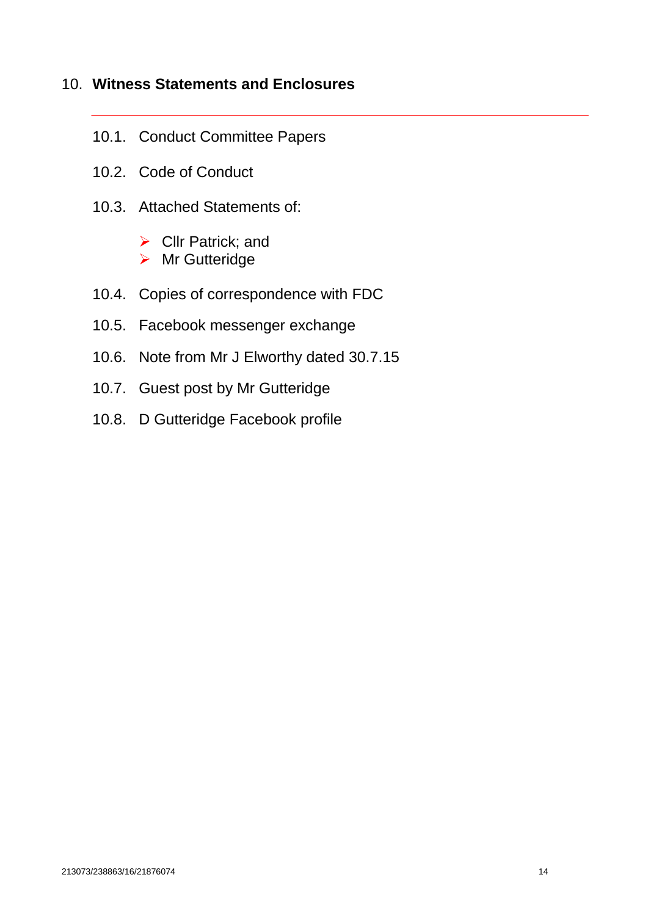# 10. **Witness Statements and Enclosures**

- 10.1. Conduct Committee Papers
- 10.2. Code of Conduct
- 10.3. Attached Statements of:
	- $\triangleright$  Cllr Patrick; and
	- ▶ Mr Gutteridge
- 10.4. Copies of correspondence with FDC
- 10.5. Facebook messenger exchange
- 10.6. Note from Mr J Elworthy dated 30.7.15
- 10.7. Guest post by Mr Gutteridge
- 10.8. D Gutteridge Facebook profile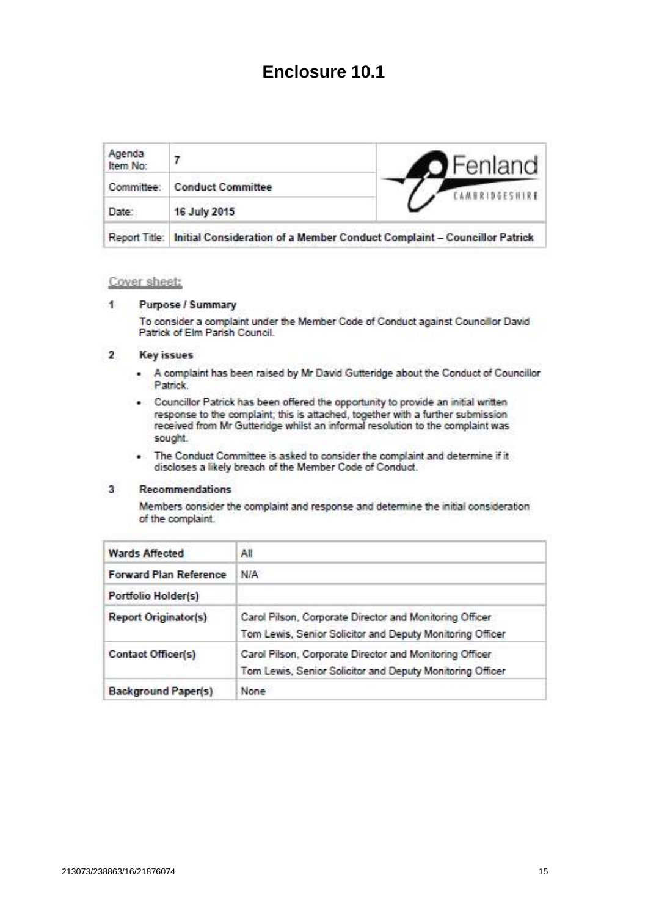# **Enclosure 10.1**

| Agenda<br>Item No: |                                                                          | Fenland |
|--------------------|--------------------------------------------------------------------------|---------|
| Committee:         | <b>Conduct Committee</b>                                                 |         |
| Date:              | 16 July 2015                                                             |         |
| Report Title:      | Initial Consideration of a Member Conduct Complaint - Councillor Patrick |         |

## Cover sheet:

#### Purpose / Summary  $\uparrow$

To consider a complaint under the Member Code of Conduct against Councillor David Patrick of Elm Parish Council.

#### $\overline{2}$ **Key issues**

- . A complaint has been raised by Mr David Gutteridge about the Conduct of Councillor Patrick.
- . Councillor Patrick has been offered the opportunity to provide an initial written response to the complaint; this is attached, together with a further submission received from Mr Gutteridge whilst an informal resolution to the complaint was sought.
- . The Conduct Committee is asked to consider the complaint and determine if it discloses a likely breach of the Member Code of Conduct.

#### $3<sup>5</sup>$ Recommendations

Members consider the complaint and response and determine the initial consideration of the complaint.

| <b>Wards Affected</b>         | All                                                                                                                  |  |
|-------------------------------|----------------------------------------------------------------------------------------------------------------------|--|
| <b>Forward Plan Reference</b> | N/A                                                                                                                  |  |
| Portfolio Holder(s)           |                                                                                                                      |  |
| <b>Report Originator(s)</b>   | Carol Pilson, Corporate Director and Monitoring Officer<br>Tom Lewis, Senior Solicitor and Deputy Monitoring Officer |  |
| Contact Officer(s)            | Carol Pilson, Corporate Director and Monitoring Officer<br>Tom Lewis, Senior Solicitor and Deputy Monitoring Officer |  |
| <b>Background Paper(s)</b>    | None                                                                                                                 |  |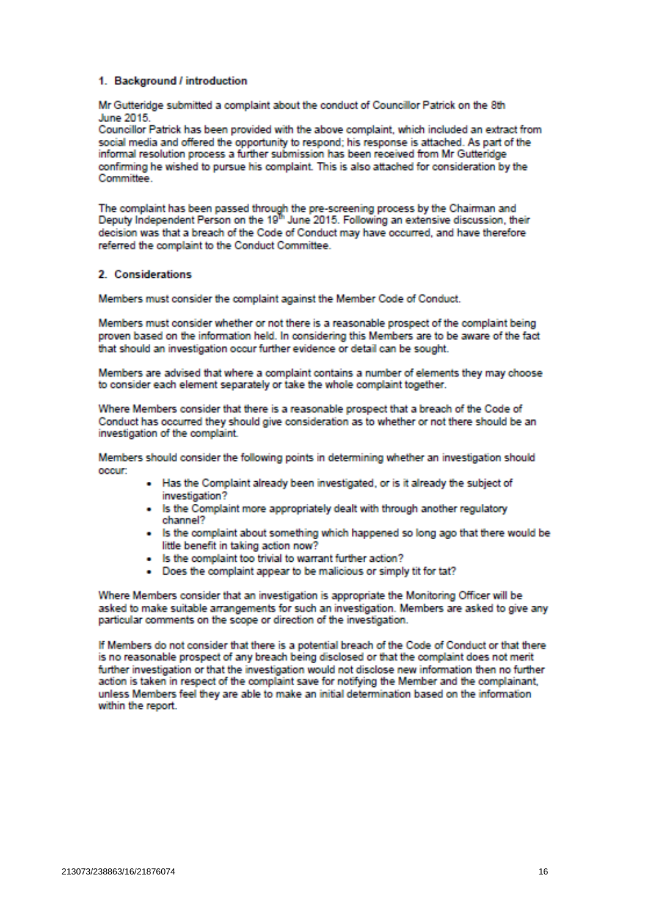## 1. Background / introduction

Mr Gutteridge submitted a complaint about the conduct of Councillor Patrick on the 8th June 2015

Councillor Patrick has been provided with the above complaint, which included an extract from social media and offered the opportunity to respond: his response is attached. As part of the informal resolution process a further submission has been received from Mr Gutteridge confirming he wished to pursue his complaint. This is also attached for consideration by the Committee

The complaint has been passed through the pre-screening process by the Chairman and<br>Deputy Independent Person on the 19<sup>th</sup> June 2015. Following an extensive discussion, their decision was that a breach of the Code of Conduct may have occurred, and have therefore referred the complaint to the Conduct Committee.

## 2. Considerations

Members must consider the complaint against the Member Code of Conduct.

Members must consider whether or not there is a reasonable prospect of the complaint being proven based on the information held. In considering this Members are to be aware of the fact that should an investigation occur further evidence or detail can be sought.

Members are advised that where a complaint contains a number of elements they may choose to consider each element separately or take the whole complaint together.

Where Members consider that there is a reasonable prospect that a breach of the Code of Conduct has occurred they should give consideration as to whether or not there should be an investigation of the complaint.

Members should consider the following points in determining whether an investigation should occur:

- . Has the Complaint already been investigated, or is it already the subject of investigation?
- . Is the Complaint more appropriately dealt with through another regulatory channel?
- . Is the complaint about something which happened so long ago that there would be little benefit in taking action now?
- . Is the complaint too trivial to warrant further action?
- . Does the complaint appear to be malicious or simply tit for tat?

Where Members consider that an investigation is appropriate the Monitoring Officer will be asked to make suitable arrangements for such an investigation. Members are asked to give any particular comments on the scope or direction of the investigation.

If Members do not consider that there is a potential breach of the Code of Conduct or that there is no reasonable prospect of any breach being disclosed or that the complaint does not merit further investigation or that the investigation would not disclose new information then no further action is taken in respect of the complaint save for notifying the Member and the complainant, unless Members feel they are able to make an initial determination based on the information within the report.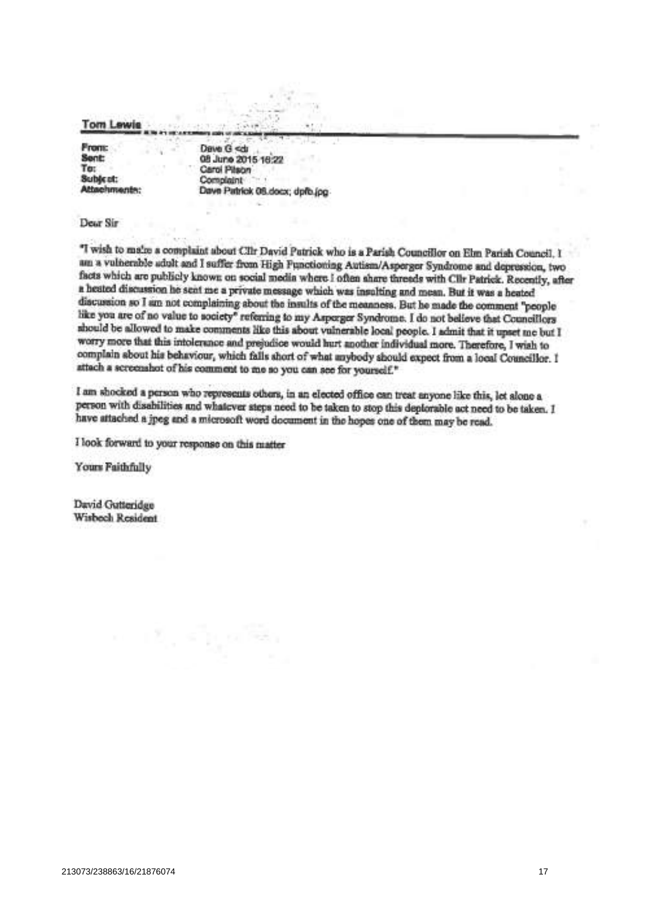**Tom Lewis** 

**From:** Sent: To: Subject: Attachments:

Dave G <dr 08 June 2015 18:22 Carol Pilson Complaint Dave Patrick 05.docx; dpfb.jpg

Dear Sir

"I wish to mains a complaint about Cllr David Patrick who is a Parish Councillor on Elm Parish Council. I am a vulnerable adult and I suffer from High Functioning Autism/Asperger Syndrome and depression, two facts which are publicly known on social media where I often share threads with Clir Patrick. Recently, after a heated discussion he sent me a private message which was insulting and mean. But it was a heated discussion so I am not complaining about the insults of the meanness. But he made the comment "people like you are of no value to society" referring to my Asperger Syndrome. I do not believe that Councillors should be allowed to make comments like this about vulnerable local people. I admit that it upset me but I worry more that this intolerance and prejudice would hurt another individual more. Therefore, I wish to complain about his behaviour, which falls ahort of what anybody should expect from a local Councillor. I attach a screenshot of his comment to me so you can see for yourself."

I am shocked a person who represents others, in an elected office can treat anyone like this, let alone a person with disabilities and whatever steps need to be taken to stop this deplorable act need to be taken. I have attached a jpeg and a microsoft word document in the hopes one of them may be read.

I look forward to your response on this matter

Yours Faithfully

David Gutteridge Wisboch Resident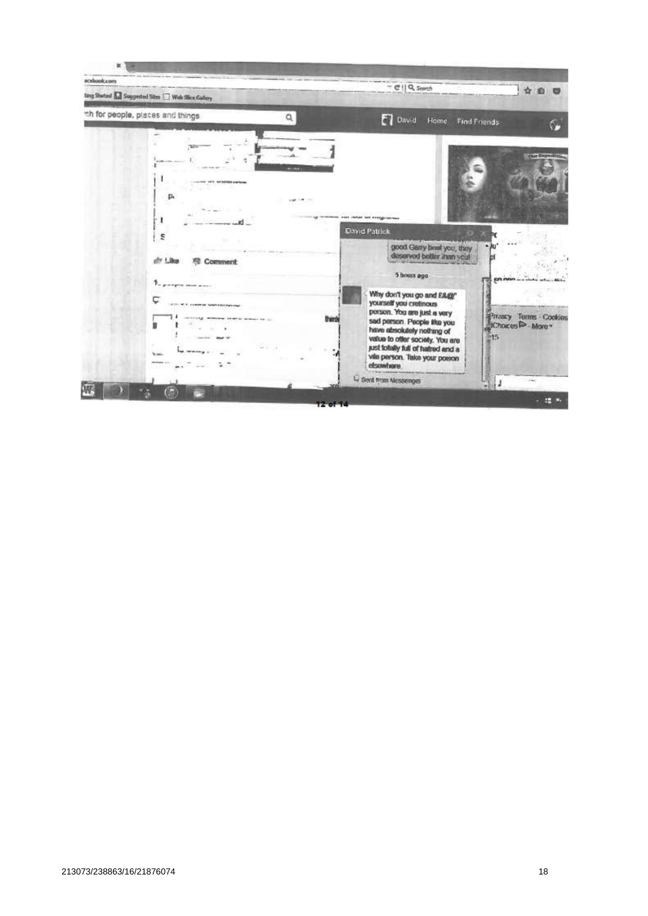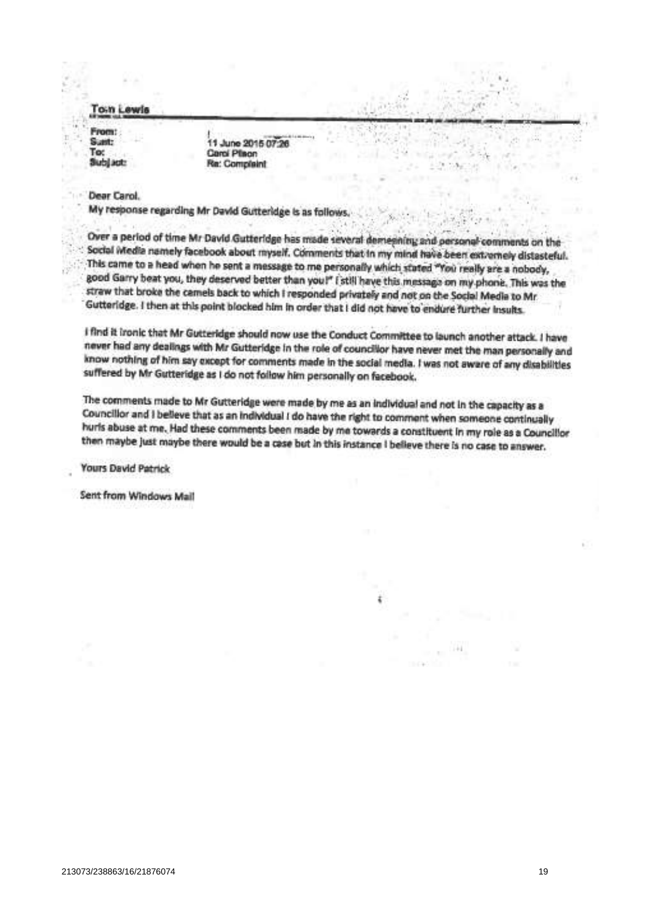oin Lewis

Signit-Tor Subjact:

11 June 2015 07:26 Carol Place Re: Complaint

## Dear Carol.

My response regarding Mr David Gutteridge is as follows.

Over a period of time Mr David Gutteridge has made several demesining and personal comments on the Social Media namely facebook about myself. Comments that in my mind have been extremely distasteful. This came to a head when he sent a message to me personally which stated "You really are a nobody, good Garry beat you, they deserved better than you!" (still have this message on my phone. This was the straw that broke the camels back to which I responded privately and not on the Social Media to Mr. Gutteridge. I then at this point blocked him in order that I did not have to endure further Insults.

I find it ironic that Mr Gutteridge should now use the Conduct Committee to launch another attack. I have never had any dealings with Mr Gutteridge in the role of councillor have never met the man personally and know nothing of him say except for comments made in the social media. I was not aware of any disabilities suffered by Mr Gutteridge as I do not follow him personally on facebook.

The comments made to Mr Gutteridge were made by me as an individual and not in the capacity as a Councillor and I believe that as an individual I do have the right to comment when someone continually hurls abuse at me. Had these comments been made by me towards a constituent in my role as a Councillor then maybe just maybe there would be a case but in this instance I believe there is no case to answer.

**Yours David Patrick** 

**Sent from Windows Mail**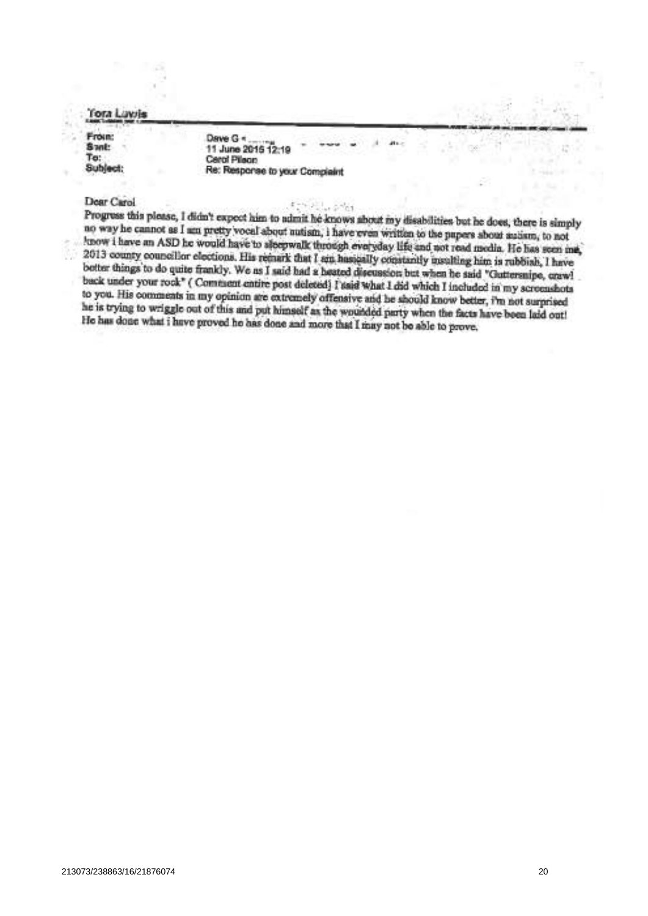**Tora Luvis** 

From: Sant: To: Sublect:

Dave G + 11 June 2015 12:19 Cerol Pileon Re: Response to your Complaint

## Dear Carol

Progress this please, I didn't expect him to admit he knows about my disabilities but he does, there is simply no way he cannot as I am pretty vocal about nutism, i have even written to the papers about autism, to not know i have an ASD he would have to sleepwalk through everyday life and not read modia. He has seen me, 2013 county councillor elections. His remark that I am hasically constantly usulting him is rubbish, I have botter things to do quite frankly. We as I said had a heated discussion but when he said "Guttersnipe, craw! back under your rock" (Comment entire post deleted) I said what I did which I included in my screenshots to you. His comments in my opinion are extremely offensive and he should know better, i'm not surprised he is trying to wriggle out of this and put himself as the wounded party when the facts have been laid out! He has done what i have proved he has done and more that I may not be able to prove.

 $5 - 64$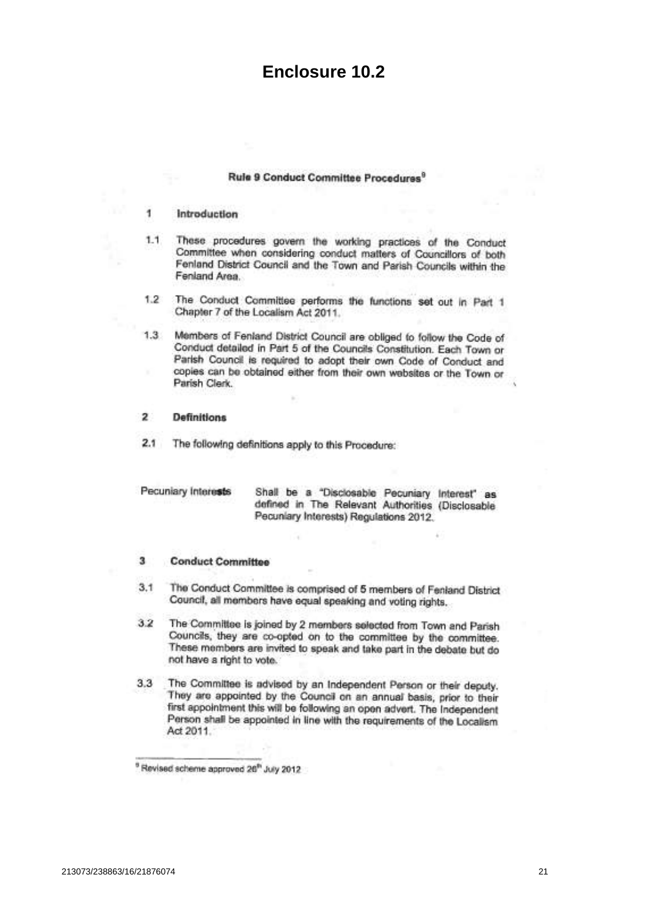# **Enclosure 10.2**

## Rule 9 Conduct Committee Procedures<sup>9</sup>

#### $\mathbf{1}$ Introduction

- $1.1$ These procedures govern the working practices of the Conduct Committee when considering conduct matters of Councillors of both Fenland District Council and the Town and Parish Councils within the Fenland Area.
- The Conduct Committee performs the functions set out in Part 1  $1.2$ Chapter 7 of the Localism Act 2011.
- Members of Fenland District Council are obliged to follow the Code of  $1.3$ Conduct detailed in Part 5 of the Councils Constitution. Each Town or Parish Council is required to adopt their own Code of Conduct and copies can be obtained either from their own websites or the Town or Parish Clerk.

#### **Definitions**  $\mathbf{z}$

The following definitions apply to this Procedure:  $2.1$ 

| Pecuniary Interests | Shall be a "Disclosable Pecuniary Interest" as<br>defined in The Relevant Authorities (Disclosable |  |
|---------------------|----------------------------------------------------------------------------------------------------|--|
|                     | Pecuniary Interests) Regulations 2012.                                                             |  |

#### 3 **Conduct Committee**

- $3,1$ The Conduct Committee is comprised of 5 members of Fenland District Council, all members have equal speaking and voting rights.
- $3.2$ The Committee is joined by 2 members selected from Town and Parish Councils, they are co-opted on to the committee by the committee. These members are invited to speak and take part in the debate but do not have a right to vote.
- The Committee is advised by an Independent Person or their deputy.  $3,3$ They are appointed by the Council on an annual basis, prior to their first appointment this will be following an open advert. The Independent Person shall be appointed in line with the requirements of the Localism Act 2011.

<sup>&</sup>lt;sup>9</sup> Revised scheme approved 26<sup>th</sup> July 2012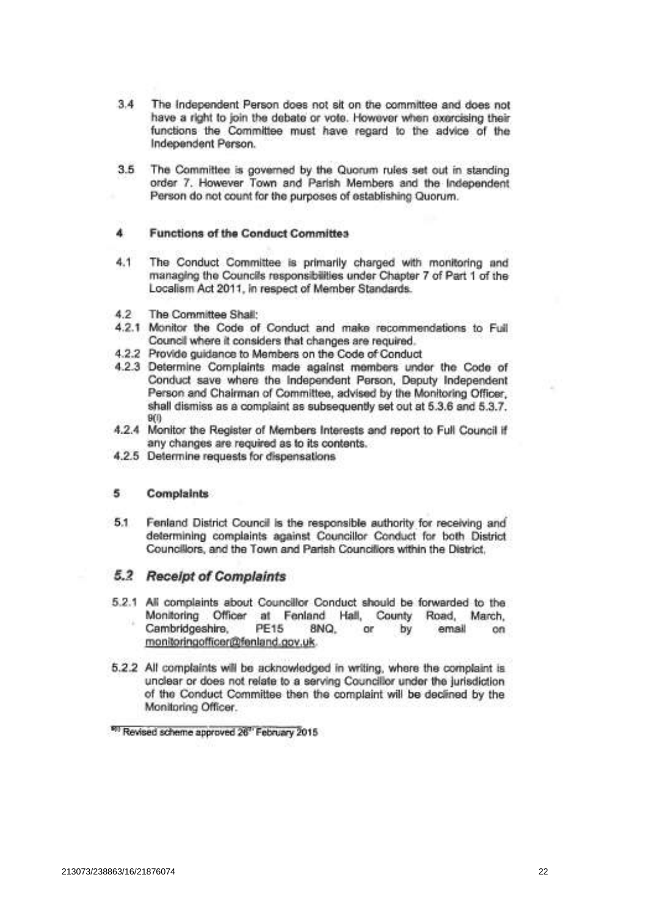- 34 The Independent Person does not sit on the committee and does not have a right to join the debate or vote. However when exercising their functions the Committee must have regard to the advice of the Independent Person.
- The Committee is governed by the Quorum rules set out in standing 3.5 order 7. However Town and Parish Members and the Independent Person do not count for the purposes of establishing Quorum.

## **Functions of the Conduct Committes**

- $4.1$ The Conduct Committee is primarily charged with monitoring and managing the Councils responsibilities under Chapter 7 of Part 1 of the Localism Act 2011, in respect of Member Standards.
- $4.2$ The Committee Shall:
- 4.2.1 Monitor the Code of Conduct and make recommendations to Full Council where it considers that changes are required.
- 4.2.2 Provide guidance to Members on the Code of Conduct
- 4.2.3 Determine Complaints made against members under the Code of Conduct save where the Independent Person, Deputy Independent Person and Chairman of Committee, advised by the Monitoring Officer, shall dismiss as a complaint as subsequently set out at 5.3.6 and 5.3.7.  $9(0)$
- 4.2.4 Monitor the Register of Members Interests and report to Full Council if any changes are required as to its contents.
- 4.2.5 Determine requests for dispensations

#### 5 Complaints

 $5.1$ Fenland District Council is the responsible authority for receiving and determining complaints against Councillor Conduct for both District Councillors, and the Town and Parish Councillors within the District.

## 5.2 Receipt of Complaints

- 5.2.1 All complaints about Councillor Conduct should be forwarded to the Monitoring Officer at Fenland Hall, County Road, March, Cambridgeshire, **PE15** 8NQ.  $or$ by email on monitoringofficer@fenland.gov.uk.
- 5.2.2 All complaints will be acknowledged in writing, where the complaint is unclear or does not relate to a serving Councillor under the jurisdiction of the Conduct Committee then the complaint will be declined by the Monitoring Officer.

<sup>&</sup>lt;sup>991</sup> Revised scheme approved 26" February 2015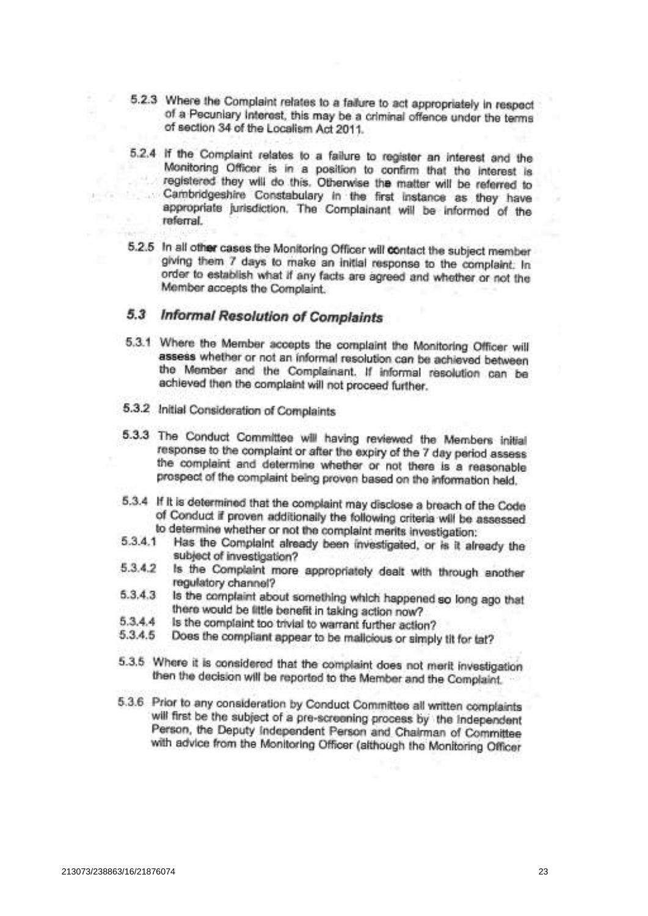- 5.2.3 Where the Complaint relates to a failure to act appropriately in respect of a Pecuniary Interest, this may be a criminal offence under the terms of section 34 of the Localism Act 2011.
- 5.2.4 If the Complaint relates to a failure to register an interest and the Monitoring Officer is in a position to confirm that the interest is registered they will do this. Otherwise the matter will be referred to Cambridgeshire Constabulary in the first instance as they have  $-13.5$ appropriate jurisdiction. The Complainant will be informed of the referral.
- 5.2.5 In all other cases the Monitoring Officer will contact the subject member giving them 7 days to make an initial response to the complaint. In order to establish what if any facts are agreed and whether or not the Member accepts the Complaint.

#### 5.3 **Informal Resolution of Complaints**

- 5.3.1 Where the Member accepts the complaint the Monitoring Officer will assess whether or not an informal resolution can be achieved between the Member and the Complainant. If informal resolution can be achieved then the complaint will not proceed further.
- 5.3.2 Initial Consideration of Complaints
- 5.3.3 The Conduct Committee will having reviewed the Members initial response to the complaint or after the expiry of the 7 day period assess the complaint and determine whether or not there is a reasonable prospect of the complaint being proven based on the information held.
- 5.3.4 If it is determined that the complaint may disclose a breach of the Code of Conduct if proven additionally the following criteria will be assessed to determine whether or not the complaint merits investigation:
- 5.3.4.1 Has the Complaint already been investigated, or is it already the subject of investigation?
- 5.3.4.2 Is the Complaint more appropriately dealt with through another regulatory channel?
- Is the complaint about something which happened so long ago that  $5.3.4.3$ there would be little benefit in taking action now?
- $5.3.4.4$ Is the complaint too trivial to warrant further action?
- 5.3.4.5 Does the compliant appear to be malicious or simply til for tat?
- 5.3.5 Where it is considered that the complaint does not merit investigation then the decision will be reported to the Member and the Complaint.
- 5.3.6 Prior to any consideration by Conduct Committee all written complaints will first be the subject of a pre-screening process by the Independent Person, the Deputy Independent Person and Chairman of Committee with advice from the Monitoring Officer (although the Monitoring Officer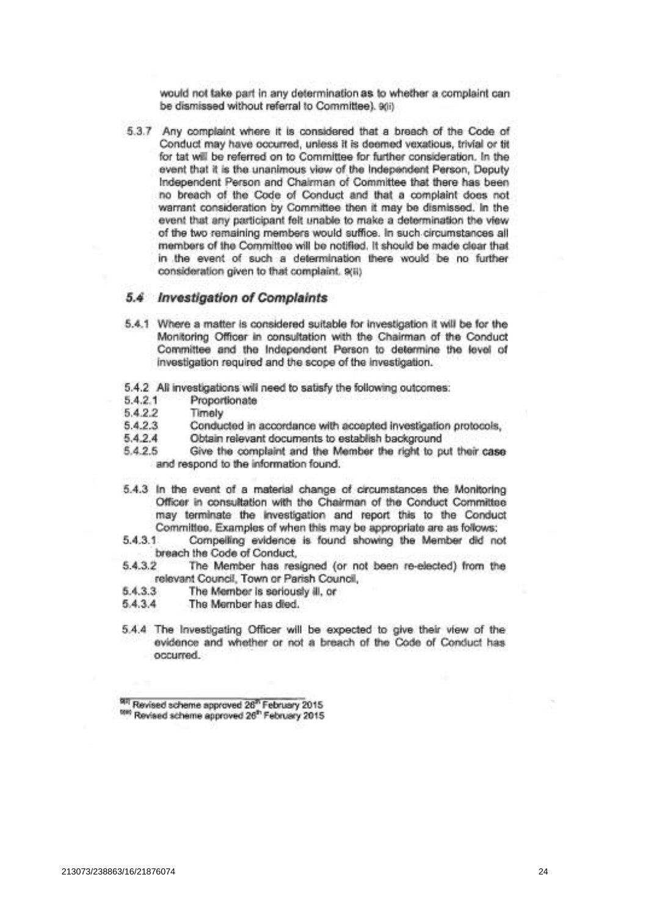would not take part in any determination as to whether a complaint can be dismissed without referral to Committee). 9(ii)

5.3.7 Any complaint where it is considered that a breach of the Code of Conduct may have occurred, unless it is deemed vexatious, trivial or tit for tat will be referred on to Committee for further consideration. In the event that it is the unanimous view of the Independent Person, Deputy Independent Person and Chairman of Committee that there has been no breach of the Code of Conduct and that a complaint does not warrant consideration by Committee then it may be dismissed. In the event that any participant felt unable to make a determination the view of the two remaining members would suffice. In such circumstances all members of the Committee will be notified. It should be made clear that in the event of such a determination there would be no further consideration given to that complaint. 9(ii)

## 5.4 Investigation of Complaints

- 5.4.1 Where a matter is considered suitable for investigation it will be for the Monitoring Officer in consultation with the Chairman of the Conduct Committee and the Independent Person to determine the level of investigation required and the scope of the investigation.
- 5.4.2 All investigations will need to satisfy the following outcomes:
- 5.4.2.1 Proportionate
- 5.4.2.2 Timely
- $5.4.2.3$ Conducted in accordance with accepted investigation protocols,
- $5.4.2.4$ Obtain relevant documents to establish background
- 5.4.2.5 Give the complaint and the Member the right to put their case and respond to the information found.
- 5.4.3 In the event of a material change of circumstances the Monitoring Officer in consultation with the Chairman of the Conduct Committee may terminate the investigation and report this to the Conduct Committee. Examples of when this may be appropriate are as follows:
- 5.4.3.1 Compelling evidence is found showing the Member did not breach the Code of Conduct.
- 5.4.3.2 The Member has resigned (or not been re-elected) from the relevant Council, Town or Parish Council,
- 5.4.3.3 The Member is seriously ill, or
- 5.4.3.4 The Member has died.
- 5.4.4 The Investigating Officer will be expected to give their view of the evidence and whether or not a breach of the Code of Conduct has occurred.

<sup>98</sup> Revised scheme approved 26<sup>th</sup> February 2015 <sup>test</sup> Revised scheme approved 26<sup>th</sup> February 2015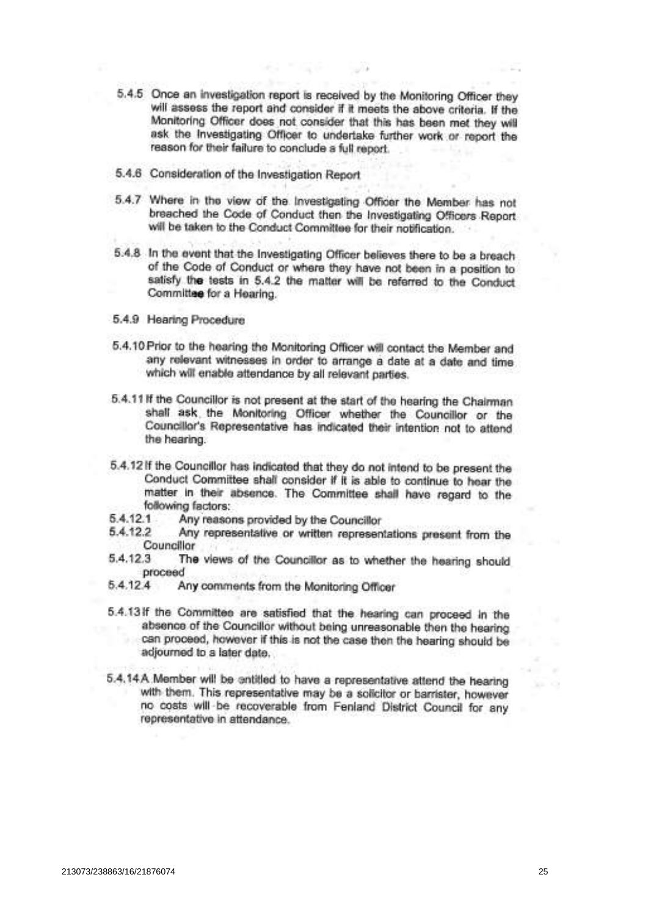- 5.4.5 Once an investigation report is received by the Monitoring Officer they will assess the report and consider if it meets the above criteria. If the Monitoring Officer does not consider that this has been met they will ask the Investigating Officer to undertake further work or report the reason for their failure to conclude a full report.
- 5.4.6 Consideration of the Investigation Report
- 5.4.7 Where in the view of the Investigating Officer the Member has not breached the Code of Conduct then the Investigating Officers Report will be taken to the Conduct Committee for their notification.
- 5.4.8 In the event that the Investigating Officer believes there to be a breach of the Code of Conduct or where they have not been in a position to satisfy the tests in 5.4.2 the matter will be referred to the Conduct Committee for a Hearing.
- 5.4.9 Hearing Procedure
- 5.4.10 Prior to the hearing the Monitoring Officer will contact the Member and any relevant witnesses in order to arrange a date at a date and time which will enable attendance by all relevant parties.
- 5.4.11 If the Councillor is not present at the start of the hearing the Chairman shall ask the Monitoring Officer whether the Councillor or the Councillor's Representative has indicated their intention not to attend the hearing.
- 5.4.12 If the Councillor has indicated that they do not intend to be present the Conduct Committee shall consider if it is able to continue to hear the matter in their absence. The Committee shall have regard to the following factors:
- 5.4.12.1 Any reasons provided by the Councillor
- 5.4.12.2 Any representative or written representations present from the Councillor
- $5.4.12.3$ The views of the Councillor as to whether the hearing should proceed
- $5.4.12.4$ Any comments from the Monitoring Officer
- 5.4.13 If the Committee are satisfied that the hearing can proceed in the absence of the Councillor without being unreasonable then the hearing can proceed, however if this is not the case then the hearing should be adjourned to a later date.
- 5.4.14A Member will be entitled to have a representative attend the hearing with them. This representative may be a solicitor or barrister, however no costs will be recoverable from Fenland District Council for any representative in attendance.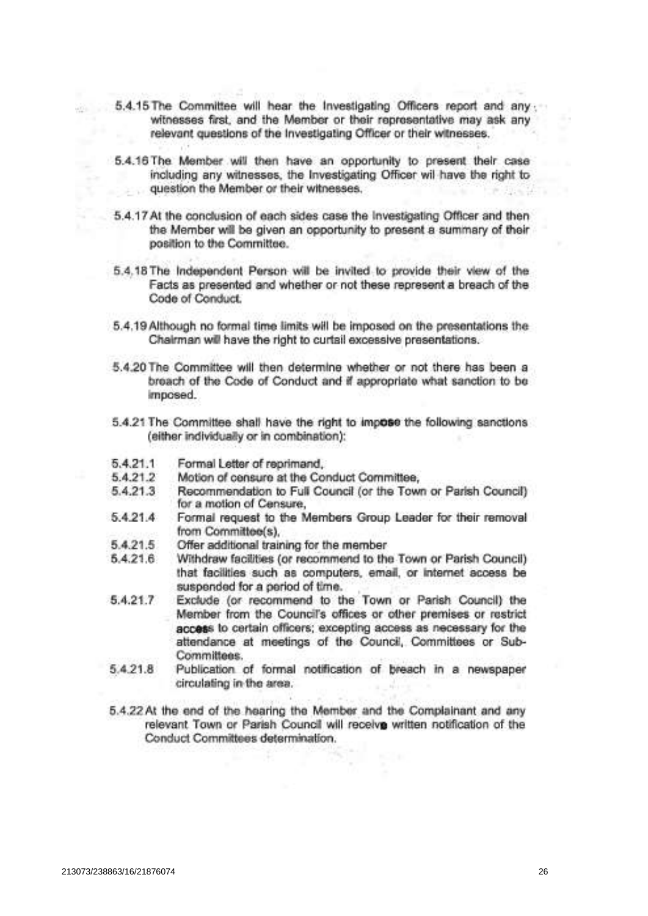- 5.4.15 The Committee will hear the Investigating Officers report and any witnesses first, and the Member or their representative may ask any relevant questions of the Investigating Officer or their witnesses.
- 5.4.16 The Member will then have an opportunity to present their case including any witnesses, the Investigating Officer wil have the right to question the Member or their witnesses.
- 5.4.17 At the conclusion of each sides case the Investigating Officer and then the Member will be given an opportunity to present a summary of their position to the Committee.
- 5.4.18 The Independent Person will be invited to provide their view of the Facts as presented and whether or not these represent a breach of the Code of Conduct.
- 5.4.19 Although no formal time limits will be imposed on the presentations the Chairman will have the right to curtail excessive presentations.
- 5.4.20 The Committee will then determine whether or not there has been a breach of the Code of Conduct and if appropriate what sanction to be imposed.
- 5.4.21 The Committee shall have the right to impose the following sanctions (either individually or in combination):
- $5.4.21.1$ Formal Letter of reprimand.
- 5.4.21.2 Motion of censure at the Conduct Committee,
- 5.4.21.3 Recommendation to Full Council (or the Town or Parish Council) for a motion of Censure,
- 5.4.21.4 Formal request to the Members Group Leader for their removal from Committee(s),
- 5.4.21.5 Offer additional training for the member
- $5.4.21.6$ Withdraw facilities (or recommend to the Town or Parish Council) that facilities such as computers, email, or internet access be suspended for a period of time.
- 5.4.21.7 Exclude (or recommend to the Town or Parish Council) the Member from the Council's offices or other premises or restrict access to certain officers; excepting access as necessary for the attendance at meetings of the Council, Committees or Sub-Committees.
- 5.4.21.8 Publication of formal notification of breach in a newspaper circulating in the area.
- 5.4.22 At the end of the hearing the Member and the Complainant and any relevant Town or Parish Council will receive written notification of the Conduct Committees determination.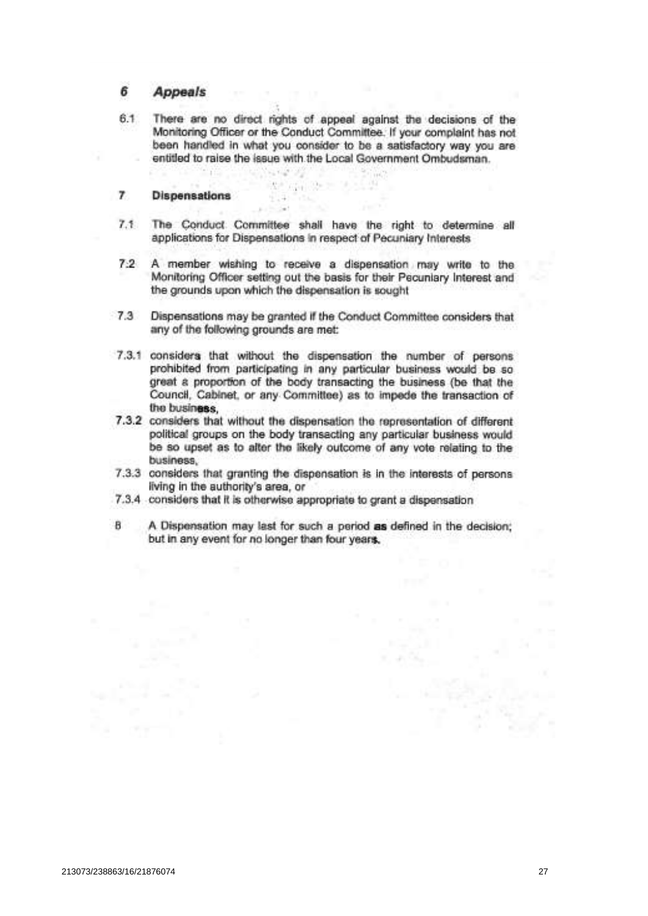#### 6 **Appeals**

 $6.1$ There are no direct rights of appeal against the decisions of the Monitoring Officer or the Conduct Committee. If your complaint has not been handled in what you consider to be a satisfactory way you are entitled to raise the issue with the Local Government Ombudsman.

图 Gi 2+ 3 1 1

 $+14.74$  $-34$ 

#### $\overline{ }$ **Dispensations**

- $7.1$ The Conduct Committee shall have the right to determine all applications for Dispensations in respect of Pecuniary Interests
- A member wishing to receive a dispensation may write to the  $7:2$ Monitoring Officer setting out the basis for their Pecuniary Interest and the grounds upon which the dispensation is sought
- $7.3$ Dispensations may be granted if the Conduct Committee considers that any of the following grounds are met:
- 7.3.1 considers that without the dispensation the number of persons prohibited from participating in any particular business would be so great a proportion of the body transacting the business (be that the Council, Cabinet, or any Committee) as to impede the transaction of the business.
- 7.3.2 considers that without the dispensation the representation of different political groups on the body transacting any particular business would be so upset as to after the likely outcome of any vote relating to the business.
- 7.3.3 considers that granting the dispensation is in the interests of persons living in the authority's area, or
- 7.3.4 considers that it is otherwise appropriate to grant a dispensation
- **B** A Dispensation may last for such a period as defined in the decision; but in any event for no longer than four years.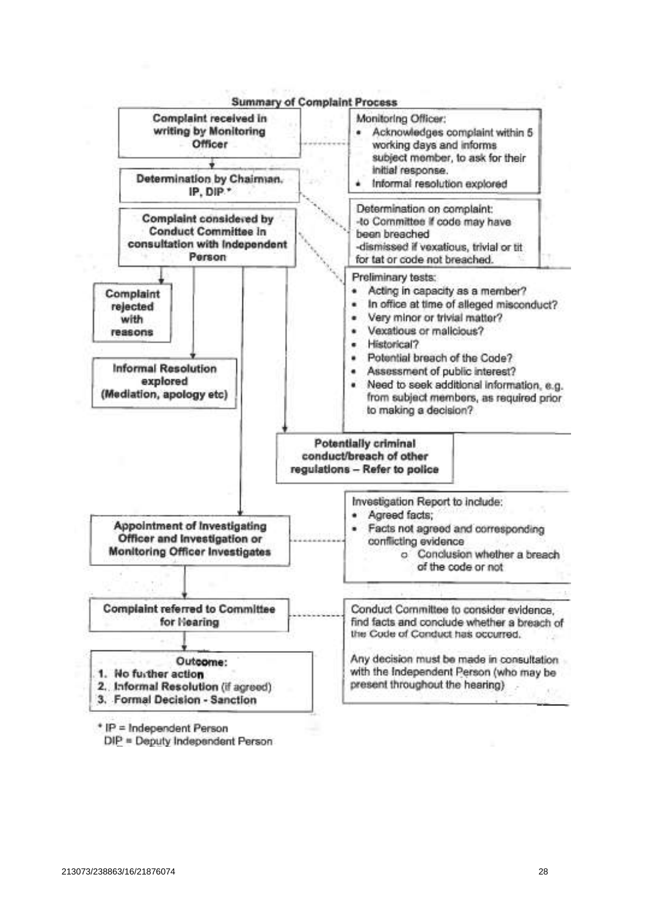

\* IP = Independent Person

DIP = Deputy Independent Person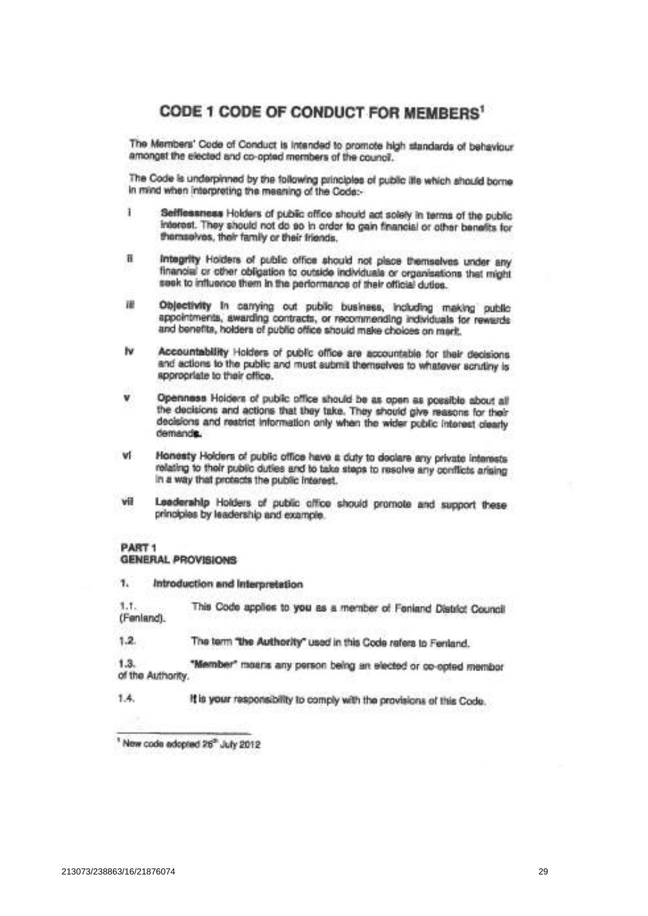# CODE 1 CODE OF CONDUCT FOR MEMBERS<sup>1</sup>

The Members' Code of Conduct is intended to promote high standards of behaviour amongst the elected and co-opted members of the council.

The Code is underpinned by the following principles of public itle which should borne in mind when interpreting the meaning of the Code:-

- Ŧ Sefflessness Holders of public office should act solely in terms of the public interest. They should not do so in order to gain financial or other benefits for themselves, their family or their friends.
- Integrity Holders of public office should not place themselves under any  $\mathbf{H}$ financial or other obligation to outside individuals or organisations that might seek to influence them in the performance of their official duties.
- 理 Objectivity In canying out public business, including making public appointments, awarding contracts, or recommending individuals for rewards and benefits, holders of public office should make choices on mark.
- Iv Accountability Holders of public office are accountable for their decisions. and actions to the public and must submit themselves to whatever scrutiny is appropriate to their office.
- Openness Holders of public office should be as open as possible about all the decisions and actions that they take. They should give reasons for their decisions and restrict information only when the wider public interest clearly demands.
- Honesty Holders of public office have a duty to declare any private interests WF relating to their public duties and to take steps to resolve any conflicts arising in a way that protects the public interest.
- vil Leadership Holders of public office should promote and support these principles by leadership and example.

### PART<sub>1</sub> **GENERAL PROVISIONS**

 $\mathbf{1}$ Introduction and Interpretation

 $1.7.$ This Code applies to you as a member of Feniand District Council (Fenland).

 $1.2.$ The term "the Authority" used in this Code refers to Fenland.

 $1.3.$ "Member" moans any person being an elected or co-opted membor of the Authority.

1.4. It is your responsibility to comply with the provisions of this Code.

New code adopted 26" July 2012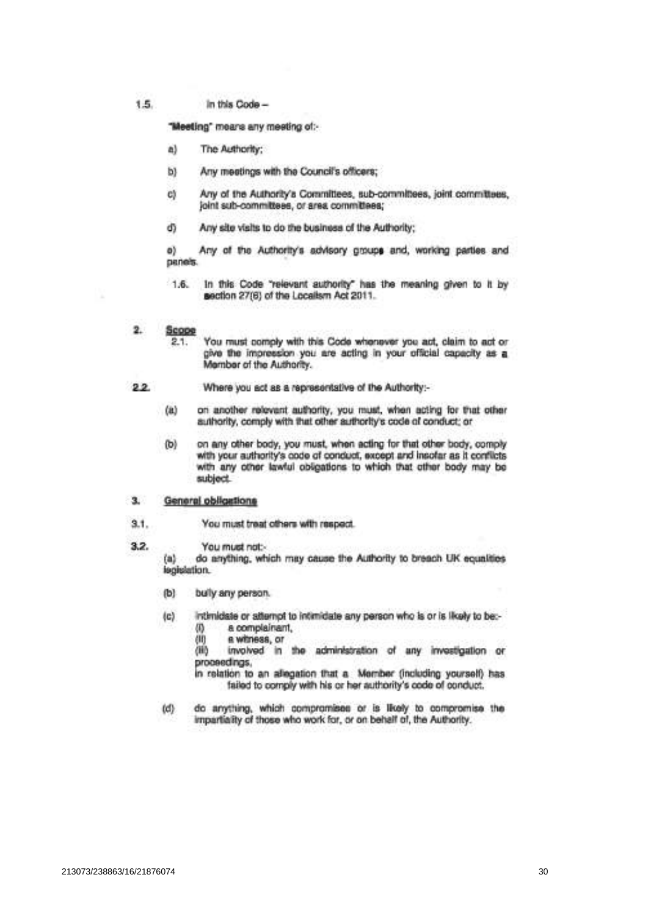1.5. In this Code -

"Meeting" means any meeting of:-

- a) The Authority:
- ы Any meetings with the Council's officers;
- Any of the Authority's Committees, sub-committees, joint committees, ci joint sub-committees, or area committees;
- d) Any site visits to do the business of the Authority;

o) Any of the Authority's advisory groups and, working parties and panels.

- In this Code "relevant authority" has the meaning given to it by  $1.6.$ section 27(6) of the Localism Act 2011.
- $2.$ Scope
	- You must comply with this Code whenever you act, claim to act or 2.1. give the impression you are acting in your official capacity as a Member of the Authority.
- $22$ Where you act as a representative of the Authority:
	- on another relevant authority, you must, when acting for that other  $(a)$ authority, comply with that other authority's code of conduct; or
	- $(b)$ on any other body, you must, when acting for that other body, comply with your authority's code of conduct, except and insofar as it conflicts with any other lawful obligations to which that other body may be subject.

#### $3.$ General obligations

- $3.1.$ You must treat others with respect.
- $3.2.$ You must not:-

 $(a)$ do anything, which may cause the Authority to breach UK equalities legislation.

- bully any person.  $(b)$
- intimidate or attempt to intimidate any person who is or is likely to be:- $(c)$  $^{(0)}$ a complainant.
	- an a witness, or

(iii) involved in the administration of any investigation or proceedings.

in relation to an allegation that a Member (including yourself) has failed to comply with his or her authority's code of conduct.

do anything, which compromises or is likely to compromise the  $(d)$ impartiality of those who work for, or on behalf of, the Authority.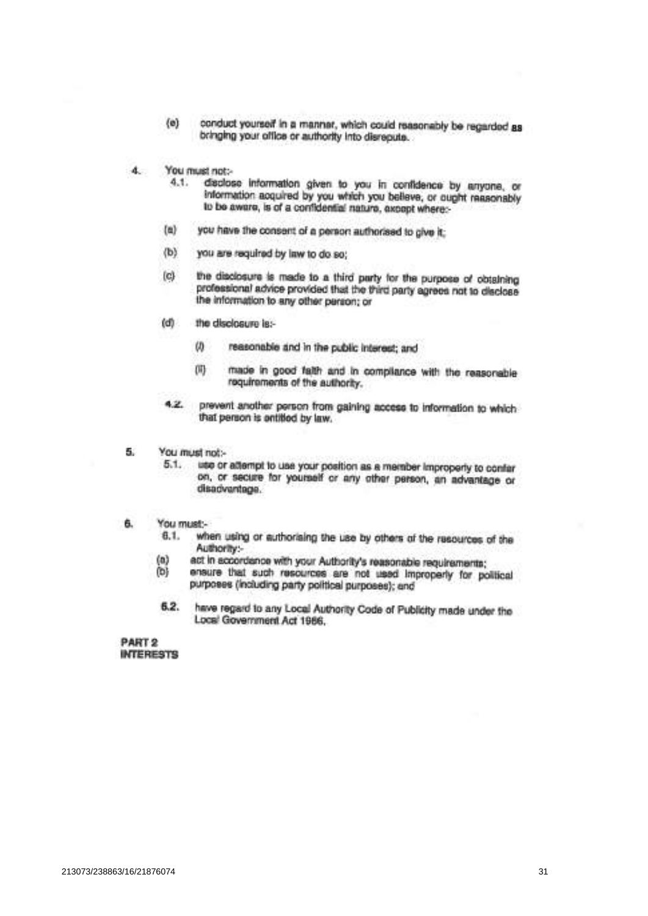- $(e)$ conduct yourself in a manner, which could reasonably be regarded as bringing your office or authority into disrepute.
- $4.$ You must not:
	- disclose information given to you in confidence by anyone, or  $4.1.$ information acquired by you which you believe, or ought reasonably to be aware, is of a confidential nature, axpept where:-
	- you have the consent of a person authorised to give it:  $(a)$
	- $(b)$ you are required by law to do so:
	- the disclosure is made to a third party for the purpose of obtaining  $(c)$ professional advice provided that the third party agrees not to disclose the information to any other person; or
	- (d) the disclosure is:-
		- $\omega$ reasonable and in the public interest; and
		- made in good faith and in compilance with the reasonable m requirements of the authority.
	- prevent another person from gaining access to information to which  $4.2.$ that person is ontitled by law.
- 5. You must not:-
	- $5.1.$ use or attempt to use your position as a member improperly to confar on, or secure for yourself or any other person, an advantage or disadvantage.
- You must:â.
	- when using or authorising the use by others of the resources of the  $6.1.$ Authority:-
	- $(a)$ act in accordance with your Authority's reasonable requirements;
	- ensure that such resources are not used improperly for political 间 purposes (including party political purposes); and
	- $6.2.$ have regard to any Local Authority Code of Publicity made under the Local Government Act 1986.

PART<sub>2</sub> **INTERESTS**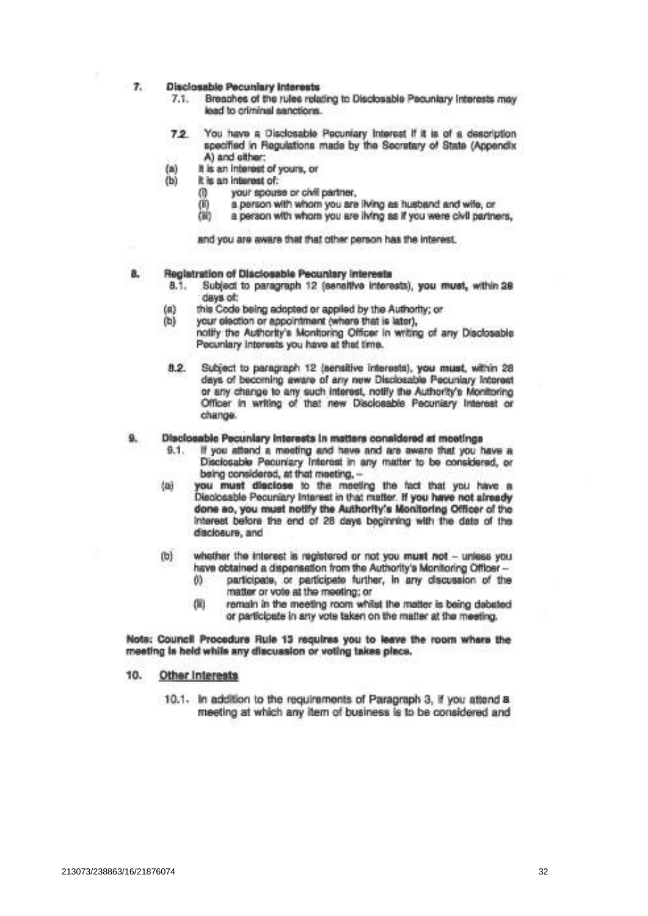#### $\tau$ **Disclosable Pecuniary Interests**

- Breaches of the rules relating to Disclosable Pecuniary Interests may  $7.1.$ lead to criminal sanctions.
- You have a Disclosable Pecuniary Interest If it is of a description  $7.2.$ specified in Regulations made by the Secretary of State (Appendix A) and ofther:
	- It is an interest of yours, or
- (b) it is an interest of:

 $(a)$ 

- (i) your spouse or civil partner,
- a person with whom you are ilving as husband and wife, or  $(ii)$
- òŵ a person with whom you are living as if you were civil partners,

and you are aware that that other person has the interest.

#### Reglatration of Disclosable Pecuniary Interests a.

- $8.1.$ Subject to paragraph 12 (senaltive interests), you must, within 28 days of:
- this Code being adopted or applied by the Authority; or  $(n)$
- $(b)$ your election or appointment (where that is later).
	- notify the Authority's Monitoring Officer in writing of any Disclosable Pecuniary Interests you have at that time.
- Subject to paragraph 12 (sensitive interests), you must, within 28  $8.2.$ days of becoming aware of any new Disclosable Pecuniary Interest or any change to any such interest, notify the Authority's Monitoring Officer in writing of that new Disclosable Pecuniary Interest or change.

#### Disclosable Pecuniary Interests in matters considered at meetings 9.

- If you attend a meeting and have and are aware that you have a  $9.1.$ Disclosable Pecuniary Interest in any matter to be considered, or being considered, at that meeting, -
- 煳 you must disclose to the meeting the fact that you have a Disclosable Pecuniary Interest in that matter. If you have not already done so, you must notify the Authority's Monitoring Officer of the Interest before the end of 28 days beginning with the date of the disclosure, and
- whether the interest is registered or not you must not unless you (b) have obtained a dispensation from the Authority's Monitoring Officer
	- participate, or participate further, in any discussion of the  $0<sup>3</sup>$ matter or vote at the meeting; or
	- œ remain in the meeting room whilst the matter is being debated or participate in any vote taken on the matter at the meeting.

Note: Council Procedure Rule 13 requires you to leave the room where the meeting is held while any discussion or voting takes place.

#### 10. Other Interests

10.1. In addition to the requirements of Paragraph 3, if you attend a meeting at which any item of business is to be considered and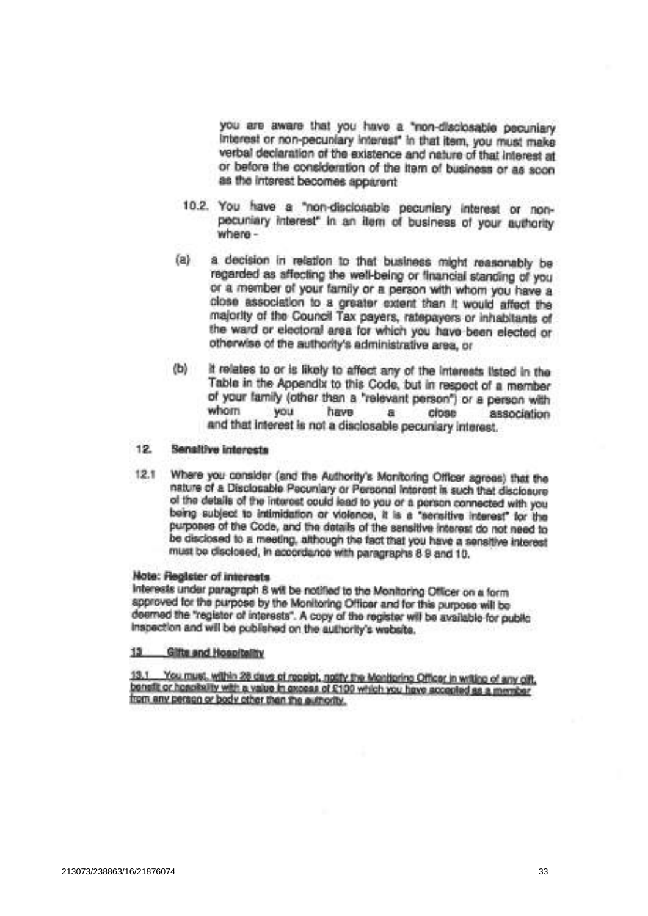you are aware that you have a "non-disclosable pecuniary interest or non-pecuniary interest" in that item, you must make verbal declaration of the existence and nature of that interest at or before the consideration of the Item of business or as scon as the interest becomes apparent

- 10.2. You have a "non-disclosable pecuniary interest or nonpecuniary interest" in an item of business of your authority where-
- a decision in relation to that business might reasonably be  $(a)$ regarded as affecting the well-being or financial standing of you or a member of your family or a person with whom you have a close association to a greater extent than it would affect the majority of the Council Tax payers, ratepayers or inhabitants of the ward or electoral area for which you have been elected or otherwise of the authority's administrative area, or
- It relates to or is likely to affect any of the interests listed in the  $\langle$ b) Table in the Appendix to this Code, but in respect of a member of your family (other than a "relevant person") or a person with whom **VOU** have a cipas association and that interest is not a disclosable pecuniary interest.

#### 12. Sensitive interests

Where you consider (and the Authority's Monitoring Officer agrees) that the  $12.1$ nature of a Disclosable Pecuniary or Personal Interest is such that disclosure of the details of the interest could lead to you or a person connected with you being subject to intimidation or violence, it is a "sensitive interest" for the purposes of the Code, and the details of the sensitive interest do not need to be disclosed to a meeting, although the fact that you have a sensitive interest must be disclosed, in accordance with paragraphs 8 9 and 10.

## Note: Register of interests

Interests under paragraph 8 will be notified to the Monitoring Officer on a form approved for the purpose by the Monitoring Officer and for this purpose will be deemed the "register of interests". A copy of the register will be available for public inspection and will be published on the authority's website.

#### $13 -$ **Gifts and Hospitality**

You must, within 28 days of receipt, notify the Monitorine Officer in writing of any offt.  $13.1$ benefit or hospitality with a value in axcess of £100 which you have accepted as a member from any person or body other than the authority.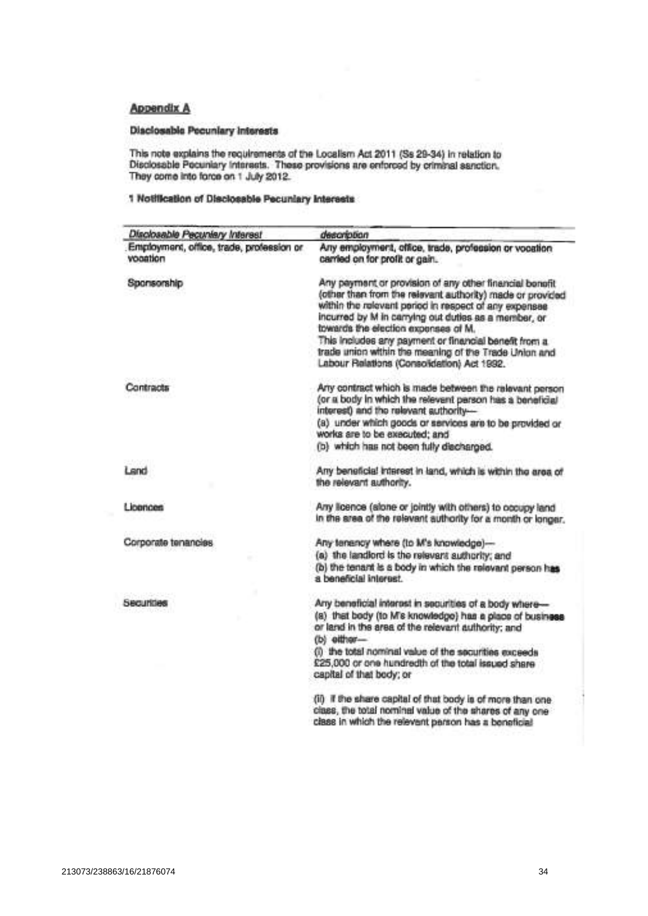## Appendix A

## **Disclosable Pecuniary Interests**

This note explains the requirements of the Localism Act 2011 (Ss 29-34) in relation to Disclosable Pecuniary Interests. These provisions are enforced by criminal sanction.<br>They come into force on 1 July 2012.

## 1 Notification of Disclosable Pecuniary Interests

| Disclosable Pecuniary Interest                       | description                                                                                                                                                                                                                                                                                                                                                                                    |  |
|------------------------------------------------------|------------------------------------------------------------------------------------------------------------------------------------------------------------------------------------------------------------------------------------------------------------------------------------------------------------------------------------------------------------------------------------------------|--|
| Employment, office, trade, profession or<br>voaation | Any employment, office, trade, profession or vocation<br>carried on for profit or gain.                                                                                                                                                                                                                                                                                                        |  |
| Sponsorship                                          | Any payment or provision of any other financial bonofit<br>(other than from the relevant authority) made or provided<br>within the relevant period in respect of any expenses<br>incurred by M in carrying out duties as a member, or<br>towards the election expenses of M.<br>This includes any payment or financial benefit from a<br>trade union within the meaning of the Trade Union and |  |
|                                                      | Labour Relations (Consolidation) Act 1992.                                                                                                                                                                                                                                                                                                                                                     |  |
| Contracts                                            | Any contract which is made between the relevant person<br>(or a body in which the relevant parson has a beneficial<br>interest) and the relevant authority-<br>(a) under which goods or services are to be provided or<br>works are to be executed; and                                                                                                                                        |  |
|                                                      | (b) which has not been fully discharged.                                                                                                                                                                                                                                                                                                                                                       |  |
| Land                                                 | Any beneficial interest in land, which is within the area of<br>the relevant authority.                                                                                                                                                                                                                                                                                                        |  |
| Licences                                             | Any licence (alone or jointly with others) to occupy land<br>in the area of the relevant authority for a month or longer.                                                                                                                                                                                                                                                                      |  |
| Corporate tenancies                                  | Any tenency where (to M's knowledge)-<br>(a) the landlord is the relevant authority; and<br>(b) the tenant is a body in which the relevant person has<br>s beneficial interest.                                                                                                                                                                                                                |  |
| Securities                                           | Any beneficial interest in securities of a body where-<br>(a) that body (to M's knowledge) has a place of business<br>or land in the area of the relevant authority; and<br>(b) either-<br>(i) the total nominal value of the securities exceeds<br>£25,000 or one hundredth of the total issued share<br>capital of that body; or                                                             |  |
|                                                      | (ii) if the share capital of that body is of more than one<br>class, the total nominal value of the shares of any one<br>class in which the relevant parson has a beneficial                                                                                                                                                                                                                   |  |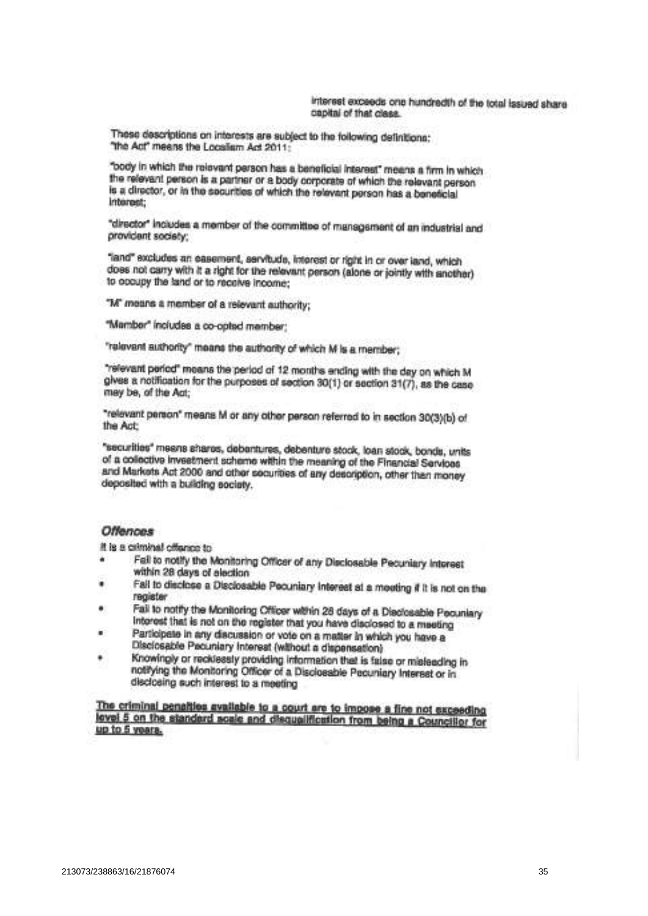These descriptions on interests are subject to the following definitions; "the Act" means the Localism Act 2011:

"body in which the relevant person has a beneficial interest" means a firm in which the relevant person is a partner or a body corporate of which the relevant person is a director, or in the securities of which the relevant person has a beneficial Internet:

"director" includes a member of the committee of management of an industrial and provident society:

"land" excludes an easement, servitude, interest or right in or over land, which does not carry with it a right for the relevant person (alone or jointly with another) to opcupy the land or to receive income;

"M" means a member of a relevant authority:

"Mamber" includes a co-opted mamber:

"ralevant authority" means the authority of which M is a member;

"relevant period" means the period of 12 months ending with the day on which M gives a notification for the purposes of section 30(1) or section 31(7), as the case may be, of the Act;

"relevant person" means M or any other person referred to in section 30(3)(b) of the Act:

"securities" means shares, debantures, debenture stock, loan stock, bonds, units of a collective investment scheme within the meaning of the Financial Services and Markets Act 2000 and other securities of any description, other than money deposited with a building society.

## **Offences**

It is a criminal offence to

- Fall to notify the Monitoring Officer of any Disclosable Pecuniary Interest within 28 days of election
- Fail to disclose a Disclosable Pecuniary Interest at a moeting if it is not on the register
- Fall to notify the Monitoring Officer within 28 days of a Disclosable Pecuniary ۰ Interest that is not on the register that you have disclosed to a meeting
- Participate in any discussion or vote on a matter in which you have a Disclosable Pacuniary Interest (without a dispensation)
- Knowingly or recklessly providing information that is false or misleading in notifying the Monitoring Officer of a Disclosable Pecuniary Interset or in disclosing such interest to a meeting

The criminal penalties available to a court are to impose a fine not exceeding level 5 on the standard scale and disqualification from being a Councillor for up to 5 years.